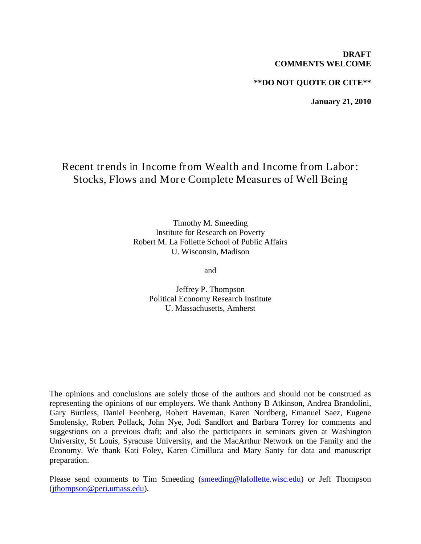## **DRAFT COMMENTS WELCOME**

# **\*\*DO NOT QUOTE OR CITE\*\***

**January 21, 2010**

# Recent trends in Income from Wealth and Income from Labor: Stocks, Flows and More Complete Measures of Well Being

Timothy M. Smeeding Institute for Research on Poverty Robert M. La Follette School of Public Affairs U. Wisconsin, Madison

and

Jeffrey P. Thompson Political Economy Research Institute U. Massachusetts, Amherst

The opinions and conclusions are solely those of the authors and should not be construed as representing the opinions of our employers. We thank Anthony B Atkinson, Andrea Brandolini, Gary Burtless, Daniel Feenberg, Robert Haveman, Karen Nordberg, Emanuel Saez, Eugene Smolensky, Robert Pollack, John Nye, Jodi Sandfort and Barbara Torrey for comments and suggestions on a previous draft; and also the participants in seminars given at Washington University, St Louis, Syracuse University, and the MacArthur Network on the Family and the Economy. We thank Kati Foley, Karen Cimilluca and Mary Santy for data and manuscript preparation.

Please send comments to Tim Smeeding [\(smeeding@lafollette.wisc.edu\)](mailto:smeeding@lafollette.wisc.edu) or Jeff Thompson [\(jthompson@peri.umass.edu\)](mailto:jthompson@peri.umass.edu).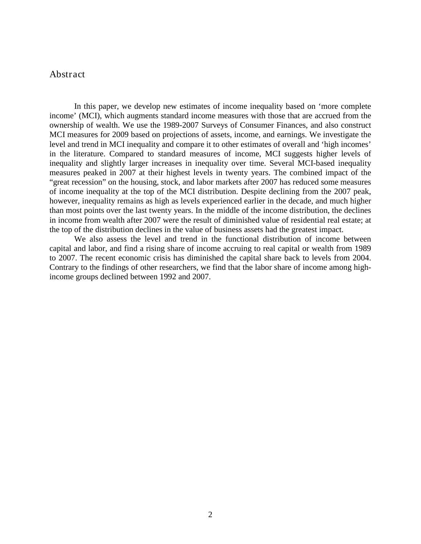# Abstract

In this paper, we develop new estimates of income inequality based on 'more complete income' (MCI), which augments standard income measures with those that are accrued from the ownership of wealth. We use the 1989-2007 Surveys of Consumer Finances, and also construct MCI measures for 2009 based on projections of assets, income, and earnings. We investigate the level and trend in MCI inequality and compare it to other estimates of overall and 'high incomes' in the literature. Compared to standard measures of income, MCI suggests higher levels of inequality and slightly larger increases in inequality over time. Several MCI-based inequality measures peaked in 2007 at their highest levels in twenty years. The combined impact of the "great recession" on the housing, stock, and labor markets after 2007 has reduced some measures of income inequality at the top of the MCI distribution. Despite declining from the 2007 peak, however, inequality remains as high as levels experienced earlier in the decade, and much higher than most points over the last twenty years. In the middle of the income distribution, the declines in income from wealth after 2007 were the result of diminished value of residential real estate; at the top of the distribution declines in the value of business assets had the greatest impact.

We also assess the level and trend in the functional distribution of income between capital and labor, and find a rising share of income accruing to real capital or wealth from 1989 to 2007. The recent economic crisis has diminished the capital share back to levels from 2004. Contrary to the findings of other researchers, we find that the labor share of income among highincome groups declined between 1992 and 2007.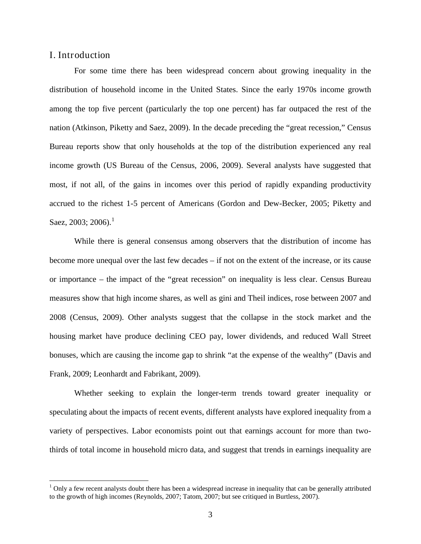# I. Introduction

For some time there has been widespread concern about growing inequality in the distribution of household income in the United States. Since the early 1970s income growth among the top five percent (particularly the top one percent) has far outpaced the rest of the nation (Atkinson, Piketty and Saez, 2009). In the decade preceding the "great recession," Census Bureau reports show that only households at the top of the distribution experienced any real income growth (US Bureau of the Census, 2006, 2009). Several analysts have suggested that most, if not all, of the gains in incomes over this period of rapidly expanding productivity accrued to the richest 1-5 percent of Americans (Gordon and Dew-Becker, 2005; Piketty and Saez, 2003; 2006).<sup>[1](#page-2-0)</sup>

While there is general consensus among observers that the distribution of income has become more unequal over the last few decades – if not on the extent of the increase, or its cause or importance – the impact of the "great recession" on inequality is less clear. Census Bureau measures show that high income shares, as well as gini and Theil indices, rose between 2007 and 2008 (Census, 2009). Other analysts suggest that the collapse in the stock market and the housing market have produce declining CEO pay, lower dividends, and reduced Wall Street bonuses, which are causing the income gap to shrink "at the expense of the wealthy" (Davis and Frank, 2009; Leonhardt and Fabrikant, 2009).

Whether seeking to explain the longer-term trends toward greater inequality or speculating about the impacts of recent events, different analysts have explored inequality from a variety of perspectives. Labor economists point out that earnings account for more than twothirds of total income in household micro data, and suggest that trends in earnings inequality are

<span id="page-2-0"></span> $<sup>1</sup>$  Only a few recent analysts doubt there has been a widespread increase in inequality that can be generally attributed</sup> to the growth of high incomes (Reynolds, 2007; Tatom, 2007; but see critiqued in Burtless, 2007).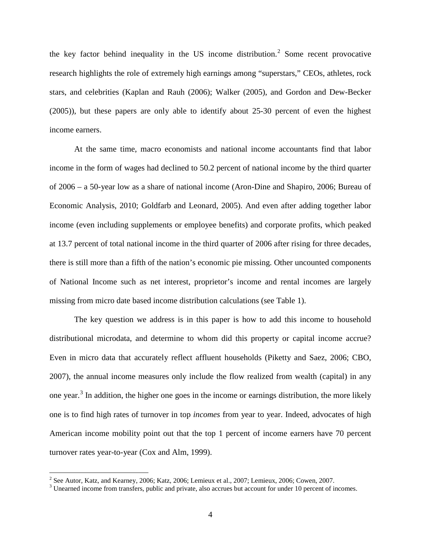the key factor behind inequality in the US income distribution.<sup>[2](#page-3-0)</sup> Some recent provocative research highlights the role of extremely high earnings among "superstars," CEOs, athletes, rock stars, and celebrities (Kaplan and Rauh (2006); Walker (2005), and Gordon and Dew-Becker (2005)), but these papers are only able to identify about 25-30 percent of even the highest income earners.

At the same time, macro economists and national income accountants find that labor income in the form of wages had declined to 50.2 percent of national income by the third quarter of 2006 – a 50-year low as a share of national income (Aron-Dine and Shapiro, 2006; Bureau of Economic Analysis, 2010; Goldfarb and Leonard, 2005). And even after adding together labor income (even including supplements or employee benefits) and corporate profits, which peaked at 13.7 percent of total national income in the third quarter of 2006 after rising for three decades, there is still more than a fifth of the nation's economic pie missing. Other uncounted components of National Income such as net interest, proprietor's income and rental incomes are largely missing from micro date based income distribution calculations (see Table 1).

The key question we address is in this paper is how to add this income to household distributional microdata, and determine to whom did this property or capital income accrue? Even in micro data that accurately reflect affluent households (Piketty and Saez, 2006; CBO, 2007), the annual income measures only include the flow realized from wealth (capital) in any one year.<sup>[3](#page-3-1)</sup> In addition, the higher one goes in the income or earnings distribution, the more likely one is to find high rates of turnover in top *incomes* from year to year. Indeed, advocates of high American income mobility point out that the top 1 percent of income earners have 70 percent turnover rates year-to-year (Cox and Alm, 1999).

<span id="page-3-1"></span><span id="page-3-0"></span>

<sup>&</sup>lt;sup>2</sup> See Autor, Katz, and Kearney, 2006; Katz, 2006; Lemieux et al., 2007; Lemieux, 2006; Cowen, 2007.  $\frac{3}{10}$  Unearned income from transfers, public and private, also accrues but account for under 10 percent of incomes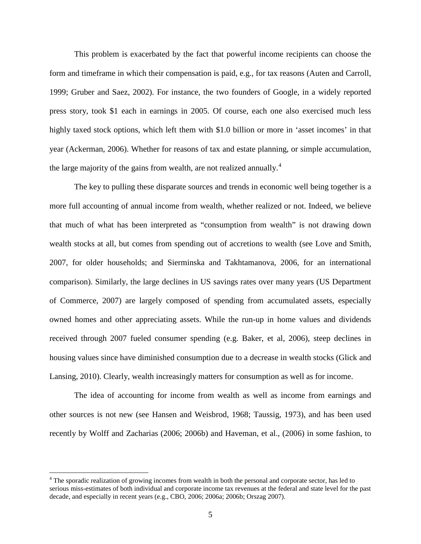This problem is exacerbated by the fact that powerful income recipients can choose the form and timeframe in which their compensation is paid, e.g., for tax reasons (Auten and Carroll, 1999; Gruber and Saez, 2002). For instance, the two founders of Google, in a widely reported press story, took \$1 each in earnings in 2005. Of course, each one also exercised much less highly taxed stock options, which left them with \$1.0 billion or more in 'asset incomes' in that year (Ackerman, 2006). Whether for reasons of tax and estate planning, or simple accumulation, the large majority of the gains from wealth, are not realized annually.<sup>[4](#page-4-0)</sup>

The key to pulling these disparate sources and trends in economic well being together is a more full accounting of annual income from wealth, whether realized or not. Indeed, we believe that much of what has been interpreted as "consumption from wealth" is not drawing down wealth stocks at all, but comes from spending out of accretions to wealth (see Love and Smith, 2007, for older households; and Sierminska and Takhtamanova, 2006, for an international comparison). Similarly, the large declines in US savings rates over many years (US Department of Commerce, 2007) are largely composed of spending from accumulated assets, especially owned homes and other appreciating assets. While the run-up in home values and dividends received through 2007 fueled consumer spending (e.g. Baker, et al, 2006), steep declines in housing values since have diminished consumption due to a decrease in wealth stocks (Glick and Lansing, 2010). Clearly, wealth increasingly matters for consumption as well as for income.

The idea of accounting for income from wealth as well as income from earnings and other sources is not new (see Hansen and Weisbrod, 1968; Taussig, 1973), and has been used recently by Wolff and Zacharias (2006; 2006b) and Haveman, et al., (2006) in some fashion, to

<span id="page-4-0"></span><sup>&</sup>lt;sup>4</sup> The sporadic realization of growing incomes from wealth in both the personal and corporate sector, has led to serious miss-estimates of both individual and corporate income tax revenues at the federal and state level for the past decade, and especially in recent years (e.g., CBO, 2006; 2006a; 2006b; Orszag 2007).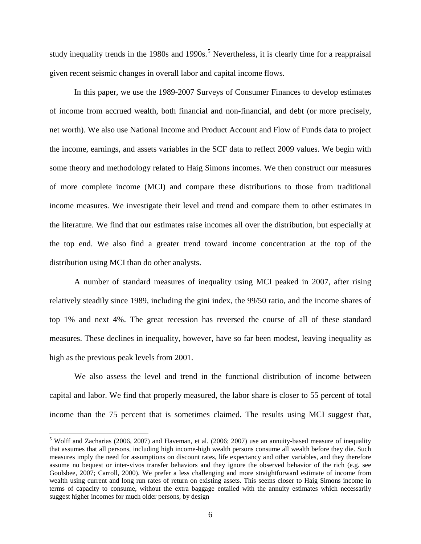study inequality trends in the 1980s and 1990s.<sup>[5](#page-5-0)</sup> Nevertheless, it is clearly time for a reappraisal given recent seismic changes in overall labor and capital income flows.

In this paper, we use the 1989-2007 Surveys of Consumer Finances to develop estimates of income from accrued wealth, both financial and non-financial, and debt (or more precisely, net worth). We also use National Income and Product Account and Flow of Funds data to project the income, earnings, and assets variables in the SCF data to reflect 2009 values. We begin with some theory and methodology related to Haig Simons incomes. We then construct our measures of more complete income (MCI) and compare these distributions to those from traditional income measures. We investigate their level and trend and compare them to other estimates in the literature. We find that our estimates raise incomes all over the distribution, but especially at the top end. We also find a greater trend toward income concentration at the top of the distribution using MCI than do other analysts.

A number of standard measures of inequality using MCI peaked in 2007, after rising relatively steadily since 1989, including the gini index, the 99/50 ratio, and the income shares of top 1% and next 4%. The great recession has reversed the course of all of these standard measures. These declines in inequality, however, have so far been modest, leaving inequality as high as the previous peak levels from 2001.

We also assess the level and trend in the functional distribution of income between capital and labor. We find that properly measured, the labor share is closer to 55 percent of total income than the 75 percent that is sometimes claimed. The results using MCI suggest that,

<span id="page-5-0"></span><sup>&</sup>lt;sup>5</sup> Wolff and Zacharias (2006, 2007) and Haveman, et al. (2006; 2007) use an annuity-based measure of inequality that assumes that all persons, including high income-high wealth persons consume all wealth before they die. Such measures imply the need for assumptions on discount rates, life expectancy and other variables, and they therefore assume no bequest or inter-vivos transfer behaviors and they ignore the observed behavior of the rich (e.g. see Goolsbee, 2007; Carroll, 2000). We prefer a less challenging and more straightforward estimate of income from wealth using current and long run rates of return on existing assets. This seems closer to Haig Simons income in terms of capacity to consume, without the extra baggage entailed with the annuity estimates which necessarily suggest higher incomes for much older persons, by design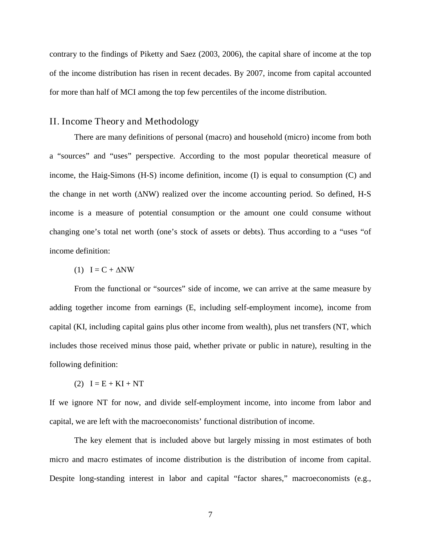contrary to the findings of Piketty and Saez (2003, 2006), the capital share of income at the top of the income distribution has risen in recent decades. By 2007, income from capital accounted for more than half of MCI among the top few percentiles of the income distribution.

### II. Income Theory and Methodology

There are many definitions of personal (macro) and household (micro) income from both a "sources" and "uses" perspective. According to the most popular theoretical measure of income, the Haig-Simons (H-S) income definition, income (I) is equal to consumption (C) and the change in net worth (∆NW) realized over the income accounting period. So defined, H-S income is a measure of potential consumption or the amount one could consume without changing one's total net worth (one's stock of assets or debts). Thus according to a "uses "of income definition:

 $(1)$  I = C +  $\triangle$ NW

From the functional or "sources" side of income, we can arrive at the same measure by adding together income from earnings (E, including self-employment income), income from capital (KI, including capital gains plus other income from wealth), plus net transfers (NT, which includes those received minus those paid, whether private or public in nature), resulting in the following definition:

(2)  $I = E + KI + NT$ 

If we ignore NT for now, and divide self-employment income, into income from labor and capital, we are left with the macroeconomists' functional distribution of income.

The key element that is included above but largely missing in most estimates of both micro and macro estimates of income distribution is the distribution of income from capital. Despite long-standing interest in labor and capital "factor shares," macroeconomists (e.g.,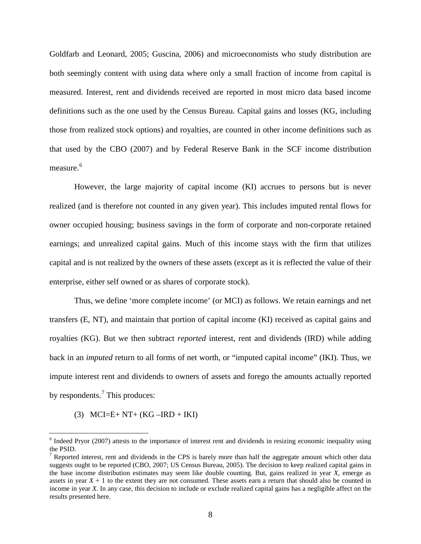Goldfarb and Leonard, 2005; Guscina, 2006) and microeconomists who study distribution are both seemingly content with using data where only a small fraction of income from capital is measured. Interest, rent and dividends received are reported in most micro data based income definitions such as the one used by the Census Bureau. Capital gains and losses (KG, including those from realized stock options) and royalties, are counted in other income definitions such as that used by the CBO (2007) and by Federal Reserve Bank in the SCF income distribution measure. [6](#page-7-0)

However, the large majority of capital income (KI) accrues to persons but is never realized (and is therefore not counted in any given year). This includes imputed rental flows for owner occupied housing; business savings in the form of corporate and non-corporate retained earnings; and unrealized capital gains. Much of this income stays with the firm that utilizes capital and is not realized by the owners of these assets (except as it is reflected the value of their enterprise, either self owned or as shares of corporate stock).

Thus, we define 'more complete income' (or MCI) as follows. We retain earnings and net transfers (E, NT), and maintain that portion of capital income (KI) received as capital gains and royalties (KG). But we then subtract *reported* interest, rent and dividends (IRD) while adding back in an *imputed* return to all forms of net worth, or "imputed capital income" (IKI). Thus, we impute interest rent and dividends to owners of assets and forego the amounts actually reported by respondents.<sup>[7](#page-7-1)</sup> This produces:

(3) MCI=E+ NT+ (KG – IRD + IKI)

<span id="page-7-0"></span> $<sup>6</sup>$  Indeed Pryor (2007) attests to the importance of interest rent and dividends in resizing economic inequality using</sup> the PSID.

<span id="page-7-1"></span> $7$  Reported interest, rent and dividends in the CPS is barely more than half the aggregate amount which other data suggests ought to be reported (CBO, 2007; US Census Bureau, 2005). The decision to keep realized capital gains in the base income distribution estimates may seem like double counting. But, gains realized in year *X*, emerge as assets in year  $X + 1$  to the extent they are not consumed. These assets earn a return that should also be counted in income in year *X*. In any case, this decision to include or exclude realized capital gains has a negligible affect on the results presented here.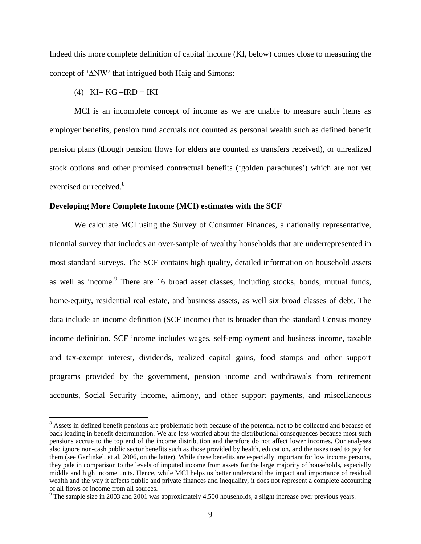Indeed this more complete definition of capital income (KI, below) comes close to measuring the concept of '∆NW' that intrigued both Haig and Simons:

 $(4)$  KI= KG –IRD + IKI

MCI is an incomplete concept of income as we are unable to measure such items as employer benefits, pension fund accruals not counted as personal wealth such as defined benefit pension plans (though pension flows for elders are counted as transfers received), or unrealized stock options and other promised contractual benefits ('golden parachutes') which are not yet exercised or received.<sup>[8](#page-8-0)</sup>

### **Developing More Complete Income (MCI) estimates with the SCF**

We calculate MCI using the Survey of Consumer Finances, a nationally representative, triennial survey that includes an over-sample of wealthy households that are underrepresented in most standard surveys. The SCF contains high quality, detailed information on household assets as well as income.<sup>[9](#page-8-1)</sup> There are 16 broad asset classes, including stocks, bonds, mutual funds, home-equity, residential real estate, and business assets, as well six broad classes of debt. The data include an income definition (SCF income) that is broader than the standard Census money income definition. SCF income includes wages, self-employment and business income, taxable and tax-exempt interest, dividends, realized capital gains, food stamps and other support programs provided by the government, pension income and withdrawals from retirement accounts, Social Security income, alimony, and other support payments, and miscellaneous

<span id="page-8-0"></span><sup>&</sup>lt;sup>8</sup> Assets in defined benefit pensions are problematic both because of the potential not to be collected and because of back loading in benefit determination. We are less worried about the distributional consequences because most such pensions accrue to the top end of the income distribution and therefore do not affect lower incomes. Our analyses also ignore non-cash public sector benefits such as those provided by health, education, and the taxes used to pay for them (see Garfinkel, et al, 2006, on the latter). While these benefits are especially important for low income persons, they pale in comparison to the levels of imputed income from assets for the large majority of households, especially middle and high income units. Hence, while MCI helps us better understand the impact and importance of residual wealth and the way it affects public and private finances and inequality, it does not represent a complete accounting of all flows of income from all sources.

<span id="page-8-1"></span> $9$  The sample size in 2003 and 2001 was approximately 4,500 households, a slight increase over previous years.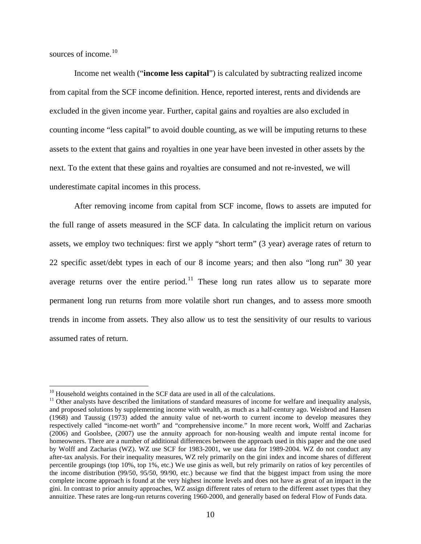sources of income.<sup>[10](#page-9-0)</sup>

Income net wealth ("**income less capital**") is calculated by subtracting realized income from capital from the SCF income definition. Hence, reported interest, rents and dividends are excluded in the given income year. Further, capital gains and royalties are also excluded in counting income "less capital" to avoid double counting, as we will be imputing returns to these assets to the extent that gains and royalties in one year have been invested in other assets by the next. To the extent that these gains and royalties are consumed and not re-invested, we will underestimate capital incomes in this process.

After removing income from capital from SCF income, flows to assets are imputed for the full range of assets measured in the SCF data. In calculating the implicit return on various assets, we employ two techniques: first we apply "short term" (3 year) average rates of return to 22 specific asset/debt types in each of our 8 income years; and then also "long run" 30 year average returns over the entire period.<sup>[11](#page-9-1)</sup> These long run rates allow us to separate more permanent long run returns from more volatile short run changes, and to assess more smooth trends in income from assets. They also allow us to test the sensitivity of our results to various assumed rates of return.

<span id="page-9-1"></span><span id="page-9-0"></span><sup>&</sup>lt;sup>10</sup> Household weights contained in the SCF data are used in all of the calculations.<br><sup>11</sup> Other analysts have described the limitations of standard measures of income for welfare and inequality analysis, and proposed solutions by supplementing income with wealth, as much as a half-century ago. Weisbrod and Hansen (1968) and Taussig (1973) added the annuity value of net-worth to current income to develop measures they respectively called "income-net worth" and "comprehensive income." In more recent work, Wolff and Zacharias (2006) and Goolsbee, (2007) use the annuity approach for non-housing wealth and impute rental income for homeowners. There are a number of additional differences between the approach used in this paper and the one used by Wolff and Zacharias (WZ). WZ use SCF for 1983-2001, we use data for 1989-2004. WZ do not conduct any after-tax analysis. For their inequality measures, WZ rely primarily on the gini index and income shares of different percentile groupings (top 10%, top 1%, etc.) We use ginis as well, but rely primarily on ratios of key percentiles of the income distribution (99/50, 95/50, 99/90, etc.) because we find that the biggest impact from using the more complete income approach is found at the very highest income levels and does not have as great of an impact in the gini. In contrast to prior annuity approaches, WZ assign different rates of return to the different asset types that they annuitize. These rates are long-run returns covering 1960-2000, and generally based on federal Flow of Funds data.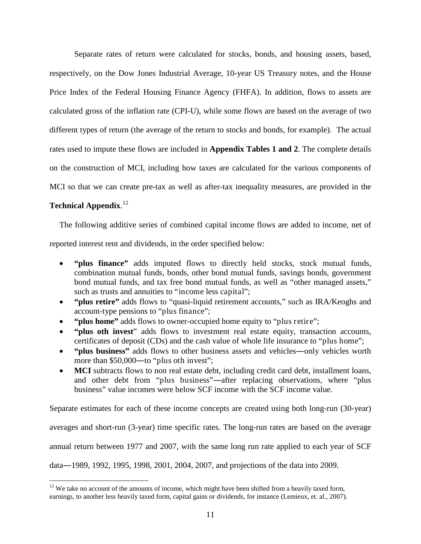Separate rates of return were calculated for stocks, bonds, and housing assets, based, respectively, on the Dow Jones Industrial Average, 10-year US Treasury notes, and the House Price Index of the Federal Housing Finance Agency (FHFA). In addition, flows to assets are calculated gross of the inflation rate (CPI-U), while some flows are based on the average of two different types of return (the average of the return to stocks and bonds, for example). The actual rates used to impute these flows are included in **Appendix Tables 1 and 2**. The complete details on the construction of MCI, including how taxes are calculated for the various components of MCI so that we can create pre-tax as well as after-tax inequality measures, are provided in the

# **Technical Appendix**. [12](#page-10-0)

The following additive series of combined capital income flows are added to income, net of

reported interest rent and dividends, in the order specified below:

- **"plus finance"** adds imputed flows to directly held stocks, stock mutual funds, combination mutual funds, bonds, other bond mutual funds, savings bonds, government bond mutual funds, and tax free bond mutual funds, as well as "other managed assets," such as trusts and annuities to "income less capital";
- **"plus retire"** adds flows to "quasi-liquid retirement accounts," such as IRA/Keoghs and account-type pensions to "plus finance";
- **"plus home"** adds flows to owner-occupied home equity to "plus retire";
- **"plus oth invest**" adds flows to investment real estate equity, transaction accounts, certificates of deposit (CDs) and the cash value of whole life insurance to "plus home";
- **"plus business"** adds flows to other business assets and vehicles―only vehicles worth more than \$50,000—to "plus oth invest";
- **MCI** subtracts flows to non real estate debt, including credit card debt, installment loans, and other debt from "plus business"―after replacing observations, where "plus business" value incomes were below SCF income with the SCF income value.

Separate estimates for each of these income concepts are created using both long-run (30-year)

averages and short-run (3-year) time specific rates. The long-run rates are based on the average

annual return between 1977 and 2007, with the same long run rate applied to each year of SCF

data―1989, 1992, 1995, 1998, 2001, 2004, 2007, and projections of the data into 2009.

<span id="page-10-0"></span> $12$  We take no account of the amounts of income, which might have been shifted from a heavily taxed form, earnings, to another less heavily taxed form, capital gains or dividends, for instance (Lemieux, et. al., 2007).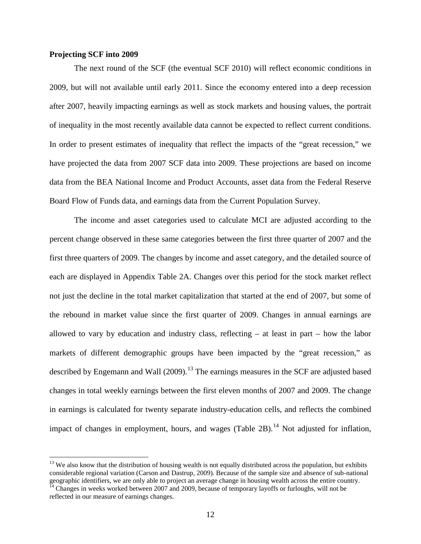### **Projecting SCF into 2009**

The next round of the SCF (the eventual SCF 2010) will reflect economic conditions in 2009, but will not available until early 2011. Since the economy entered into a deep recession after 2007, heavily impacting earnings as well as stock markets and housing values, the portrait of inequality in the most recently available data cannot be expected to reflect current conditions. In order to present estimates of inequality that reflect the impacts of the "great recession," we have projected the data from 2007 SCF data into 2009. These projections are based on income data from the BEA National Income and Product Accounts, asset data from the Federal Reserve Board Flow of Funds data, and earnings data from the Current Population Survey.

The income and asset categories used to calculate MCI are adjusted according to the percent change observed in these same categories between the first three quarter of 2007 and the first three quarters of 2009. The changes by income and asset category, and the detailed source of each are displayed in Appendix Table 2A. Changes over this period for the stock market reflect not just the decline in the total market capitalization that started at the end of 2007, but some of the rebound in market value since the first quarter of 2009. Changes in annual earnings are allowed to vary by education and industry class, reflecting – at least in part – how the labor markets of different demographic groups have been impacted by the "great recession," as described by Engemann and Wall  $(2009)$ .<sup>[13](#page-11-0)</sup> The earnings measures in the SCF are adjusted based changes in total weekly earnings between the first eleven months of 2007 and 2009. The change in earnings is calculated for twenty separate industry-education cells, and reflects the combined impact of changes in employment, hours, and wages (Table 2B).<sup>[14](#page-11-1)</sup> Not adjusted for inflation,

<span id="page-11-0"></span> $13$  We also know that the distribution of housing wealth is not equally distributed across the population, but exhibits considerable regional variation (Carson and Dastrup, 2009). Because of the sample size and absence of sub-national geographic identifiers, we are only able to project an average change in housing wealth across the entire country.

<span id="page-11-1"></span> $14$  Changes in weeks worked between 2007 and 2009, because of temporary layoffs or furloughs, will not be reflected in our measure of earnings changes.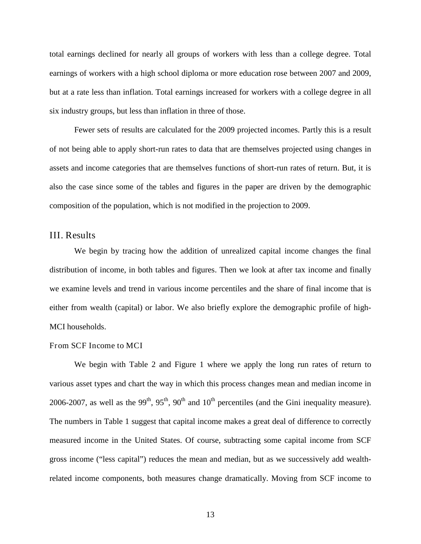total earnings declined for nearly all groups of workers with less than a college degree. Total earnings of workers with a high school diploma or more education rose between 2007 and 2009, but at a rate less than inflation. Total earnings increased for workers with a college degree in all six industry groups, but less than inflation in three of those.

Fewer sets of results are calculated for the 2009 projected incomes. Partly this is a result of not being able to apply short-run rates to data that are themselves projected using changes in assets and income categories that are themselves functions of short-run rates of return. But, it is also the case since some of the tables and figures in the paper are driven by the demographic composition of the population, which is not modified in the projection to 2009.

# III. Results

We begin by tracing how the addition of unrealized capital income changes the final distribution of income, in both tables and figures. Then we look at after tax income and finally we examine levels and trend in various income percentiles and the share of final income that is either from wealth (capital) or labor. We also briefly explore the demographic profile of high-MCI households.

### From SCF Income to MCI

We begin with Table 2 and Figure 1 where we apply the long run rates of return to various asset types and chart the way in which this process changes mean and median income in 2006-2007, as well as the 99<sup>th</sup>, 95<sup>th</sup>, 90<sup>th</sup> and 10<sup>th</sup> percentiles (and the Gini inequality measure). The numbers in Table 1 suggest that capital income makes a great deal of difference to correctly measured income in the United States. Of course, subtracting some capital income from SCF gross income ("less capital") reduces the mean and median, but as we successively add wealthrelated income components, both measures change dramatically. Moving from SCF income to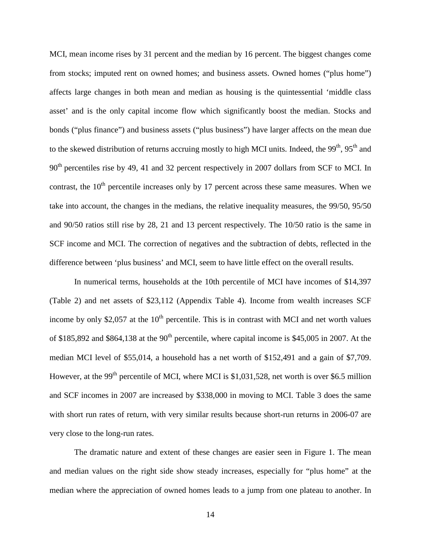MCI, mean income rises by 31 percent and the median by 16 percent. The biggest changes come from stocks; imputed rent on owned homes; and business assets. Owned homes ("plus home") affects large changes in both mean and median as housing is the quintessential 'middle class asset' and is the only capital income flow which significantly boost the median. Stocks and bonds ("plus finance") and business assets ("plus business") have larger affects on the mean due to the skewed distribution of returns accruing mostly to high MCI units. Indeed, the 99<sup>th</sup>, 95<sup>th</sup> and 90<sup>th</sup> percentiles rise by 49, 41 and 32 percent respectively in 2007 dollars from SCF to MCI. In contrast, the  $10<sup>th</sup>$  percentile increases only by 17 percent across these same measures. When we take into account, the changes in the medians, the relative inequality measures, the 99/50, 95/50 and 90/50 ratios still rise by 28, 21 and 13 percent respectively. The 10/50 ratio is the same in SCF income and MCI. The correction of negatives and the subtraction of debts, reflected in the difference between 'plus business' and MCI, seem to have little effect on the overall results.

In numerical terms, households at the 10th percentile of MCI have incomes of \$14,397 (Table 2) and net assets of \$23,112 (Appendix Table 4). Income from wealth increases SCF income by only \$2,057 at the  $10<sup>th</sup>$  percentile. This is in contrast with MCI and net worth values of \$185,892 and \$864,138 at the  $90<sup>th</sup>$  percentile, where capital income is \$45,005 in 2007. At the median MCI level of \$55,014, a household has a net worth of \$152,491 and a gain of \$7,709. However, at the 99<sup>th</sup> percentile of MCI, where MCI is \$1,031,528, net worth is over \$6.5 million and SCF incomes in 2007 are increased by \$338,000 in moving to MCI. Table 3 does the same with short run rates of return, with very similar results because short-run returns in 2006-07 are very close to the long-run rates.

The dramatic nature and extent of these changes are easier seen in Figure 1. The mean and median values on the right side show steady increases, especially for "plus home" at the median where the appreciation of owned homes leads to a jump from one plateau to another. In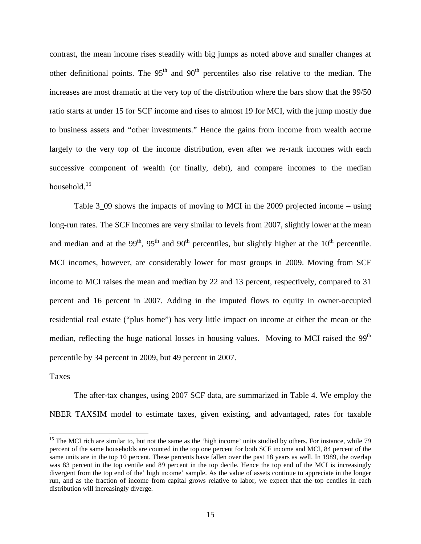contrast, the mean income rises steadily with big jumps as noted above and smaller changes at other definitional points. The  $95<sup>th</sup>$  and  $90<sup>th</sup>$  percentiles also rise relative to the median. The increases are most dramatic at the very top of the distribution where the bars show that the 99/50 ratio starts at under 15 for SCF income and rises to almost 19 for MCI, with the jump mostly due to business assets and "other investments." Hence the gains from income from wealth accrue largely to the very top of the income distribution, even after we re-rank incomes with each successive component of wealth (or finally, debt), and compare incomes to the median household.<sup>[15](#page-14-0)</sup>

Table 3\_09 shows the impacts of moving to MCI in the 2009 projected income – using long-run rates. The SCF incomes are very similar to levels from 2007, slightly lower at the mean and median and at the 99<sup>th</sup>, 95<sup>th</sup> and 90<sup>th</sup> percentiles, but slightly higher at the 10<sup>th</sup> percentile. MCI incomes, however, are considerably lower for most groups in 2009. Moving from SCF income to MCI raises the mean and median by 22 and 13 percent, respectively, compared to 31 percent and 16 percent in 2007. Adding in the imputed flows to equity in owner-occupied residential real estate ("plus home") has very little impact on income at either the mean or the median, reflecting the huge national losses in housing values. Moving to MCI raised the  $99<sup>th</sup>$ percentile by 34 percent in 2009, but 49 percent in 2007.

### Taxes

The after-tax changes, using 2007 SCF data, are summarized in Table 4. We employ the NBER TAXSIM model to estimate taxes, given existing, and advantaged, rates for taxable

<span id="page-14-0"></span><sup>&</sup>lt;sup>15</sup> The MCI rich are similar to, but not the same as the 'high income' units studied by others. For instance, while 79 percent of the same households are counted in the top one percent for both SCF income and MCI, 84 percent of the same units are in the top 10 percent. These percents have fallen over the past 18 years as well. In 1989, the overlap was 83 percent in the top centile and 89 percent in the top decile. Hence the top end of the MCI is increasingly divergent from the top end of the' high income' sample. As the value of assets continue to appreciate in the longer run, and as the fraction of income from capital grows relative to labor, we expect that the top centiles in each distribution will increasingly diverge.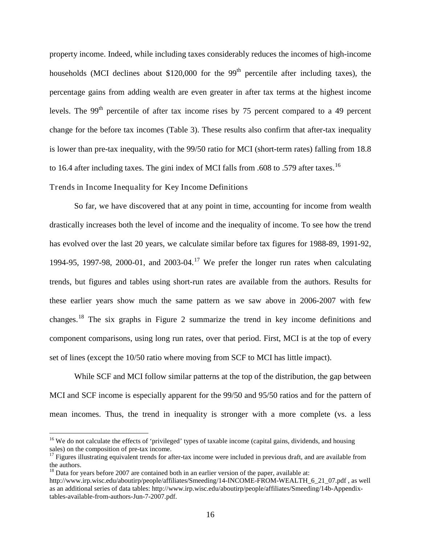property income. Indeed, while including taxes considerably reduces the incomes of high-income households (MCI declines about \$120,000 for the  $99<sup>th</sup>$  percentile after including taxes), the percentage gains from adding wealth are even greater in after tax terms at the highest income levels. The  $99<sup>th</sup>$  percentile of after tax income rises by 75 percent compared to a 49 percent change for the before tax incomes (Table 3). These results also confirm that after-tax inequality is lower than pre-tax inequality, with the 99/50 ratio for MCI (short-term rates) falling from 18.8 to [16](#page-15-0).4 after including taxes. The gini index of MCI falls from .608 to .579 after taxes.<sup>16</sup>

Trends in Income Inequality for Key Income Definitions

So far, we have discovered that at any point in time, accounting for income from wealth drastically increases both the level of income and the inequality of income. To see how the trend has evolved over the last 20 years, we calculate similar before tax figures for 1988-89, 1991-92, 1994-95, 1997-98, 2000-01, and 2003-04.<sup>[17](#page-15-1)</sup> We prefer the longer run rates when calculating trends, but figures and tables using short-run rates are available from the authors. Results for these earlier years show much the same pattern as we saw above in 2006-2007 with few changes.<sup>[18](#page-15-2)</sup> The six graphs in Figure 2 summarize the trend in key income definitions and component comparisons, using long run rates, over that period. First, MCI is at the top of every set of lines (except the 10/50 ratio where moving from SCF to MCI has little impact).

While SCF and MCI follow similar patterns at the top of the distribution, the gap between MCI and SCF income is especially apparent for the 99/50 and 95/50 ratios and for the pattern of mean incomes. Thus, the trend in inequality is stronger with a more complete (vs. a less

<span id="page-15-0"></span><sup>&</sup>lt;sup>16</sup> We do not calculate the effects of 'privileged' types of taxable income (capital gains, dividends, and housing sales) on the composition of pre-tax income.<br><sup>17</sup> Figures illustrating equivalent trends for after-tax income were included in previous draft, and are available from

<span id="page-15-1"></span>the authors.

<span id="page-15-2"></span> $18$  Data for years before 2007 are contained both in an earlier version of the paper, available at:

http://www.irp.wisc.edu/aboutirp/people/affiliates/Smeeding/14-INCOME-FROM-WEALTH\_6\_21\_07.pdf , as well as an additional series of data tables: http://www.irp.wisc.edu/aboutirp/people/affiliates/Smeeding/14b-Appendixtables-available-from-authors-Jun-7-2007.pdf.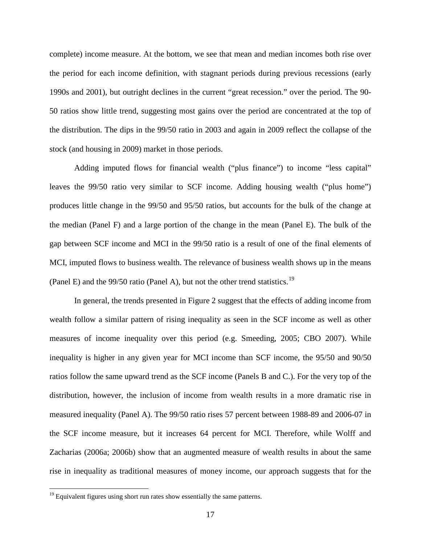complete) income measure. At the bottom, we see that mean and median incomes both rise over the period for each income definition, with stagnant periods during previous recessions (early 1990s and 2001), but outright declines in the current "great recession." over the period. The 90- 50 ratios show little trend, suggesting most gains over the period are concentrated at the top of the distribution. The dips in the 99/50 ratio in 2003 and again in 2009 reflect the collapse of the stock (and housing in 2009) market in those periods.

Adding imputed flows for financial wealth ("plus finance") to income "less capital" leaves the 99/50 ratio very similar to SCF income. Adding housing wealth ("plus home") produces little change in the 99/50 and 95/50 ratios, but accounts for the bulk of the change at the median (Panel F) and a large portion of the change in the mean (Panel E). The bulk of the gap between SCF income and MCI in the 99/50 ratio is a result of one of the final elements of MCI, imputed flows to business wealth. The relevance of business wealth shows up in the means (Panel E) and the  $99/50$  ratio (Panel A), but not the other trend statistics.<sup>[19](#page-16-0)</sup>

In general, the trends presented in Figure 2 suggest that the effects of adding income from wealth follow a similar pattern of rising inequality as seen in the SCF income as well as other measures of income inequality over this period (e.g. Smeeding, 2005; CBO 2007). While inequality is higher in any given year for MCI income than SCF income, the 95/50 and 90/50 ratios follow the same upward trend as the SCF income (Panels B and C.). For the very top of the distribution, however, the inclusion of income from wealth results in a more dramatic rise in measured inequality (Panel A). The 99/50 ratio rises 57 percent between 1988-89 and 2006-07 in the SCF income measure, but it increases 64 percent for MCI. Therefore, while Wolff and Zacharias (2006a; 2006b) show that an augmented measure of wealth results in about the same rise in inequality as traditional measures of money income, our approach suggests that for the

<span id="page-16-0"></span> $19$  Equivalent figures using short run rates show essentially the same patterns.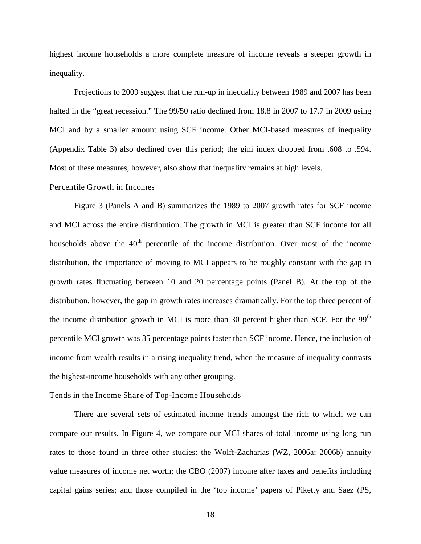highest income households a more complete measure of income reveals a steeper growth in inequality.

Projections to 2009 suggest that the run-up in inequality between 1989 and 2007 has been halted in the "great recession." The 99/50 ratio declined from 18.8 in 2007 to 17.7 in 2009 using MCI and by a smaller amount using SCF income. Other MCI-based measures of inequality (Appendix Table 3) also declined over this period; the gini index dropped from .608 to .594. Most of these measures, however, also show that inequality remains at high levels.

### Percentile Growth in Incomes

Figure 3 (Panels A and B) summarizes the 1989 to 2007 growth rates for SCF income and MCI across the entire distribution. The growth in MCI is greater than SCF income for all households above the  $40<sup>th</sup>$  percentile of the income distribution. Over most of the income distribution, the importance of moving to MCI appears to be roughly constant with the gap in growth rates fluctuating between 10 and 20 percentage points (Panel B). At the top of the distribution, however, the gap in growth rates increases dramatically. For the top three percent of the income distribution growth in MCI is more than 30 percent higher than SCF. For the 99<sup>th</sup> percentile MCI growth was 35 percentage points faster than SCF income. Hence, the inclusion of income from wealth results in a rising inequality trend, when the measure of inequality contrasts the highest-income households with any other grouping.

### Tends in the Income Share of Top-Income Households

There are several sets of estimated income trends amongst the rich to which we can compare our results. In Figure 4, we compare our MCI shares of total income using long run rates to those found in three other studies: the Wolff-Zacharias (WZ, 2006a; 2006b) annuity value measures of income net worth; the CBO (2007) income after taxes and benefits including capital gains series; and those compiled in the 'top income' papers of Piketty and Saez (PS,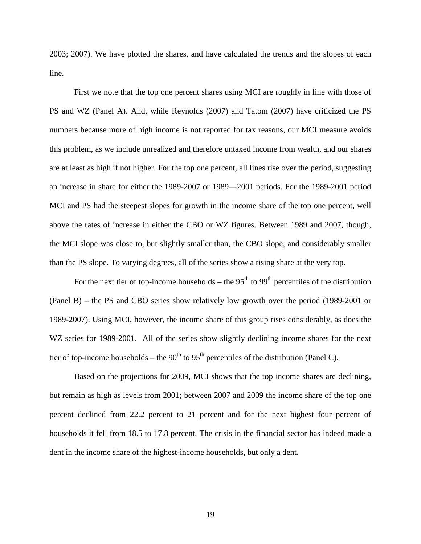2003; 2007). We have plotted the shares, and have calculated the trends and the slopes of each line.

First we note that the top one percent shares using MCI are roughly in line with those of PS and WZ (Panel A). And, while Reynolds (2007) and Tatom (2007) have criticized the PS numbers because more of high income is not reported for tax reasons, our MCI measure avoids this problem, as we include unrealized and therefore untaxed income from wealth, and our shares are at least as high if not higher. For the top one percent, all lines rise over the period, suggesting an increase in share for either the 1989-2007 or 1989—2001 periods. For the 1989-2001 period MCI and PS had the steepest slopes for growth in the income share of the top one percent, well above the rates of increase in either the CBO or WZ figures. Between 1989 and 2007, though, the MCI slope was close to, but slightly smaller than, the CBO slope, and considerably smaller than the PS slope. To varying degrees, all of the series show a rising share at the very top.

For the next tier of top-income households – the  $95<sup>th</sup>$  to  $99<sup>th</sup>$  percentiles of the distribution (Panel B) – the PS and CBO series show relatively low growth over the period (1989-2001 or 1989-2007). Using MCI, however, the income share of this group rises considerably, as does the WZ series for 1989-2001. All of the series show slightly declining income shares for the next tier of top-income households – the  $90<sup>th</sup>$  to  $95<sup>th</sup>$  percentiles of the distribution (Panel C).

Based on the projections for 2009, MCI shows that the top income shares are declining, but remain as high as levels from 2001; between 2007 and 2009 the income share of the top one percent declined from 22.2 percent to 21 percent and for the next highest four percent of households it fell from 18.5 to 17.8 percent. The crisis in the financial sector has indeed made a dent in the income share of the highest-income households, but only a dent.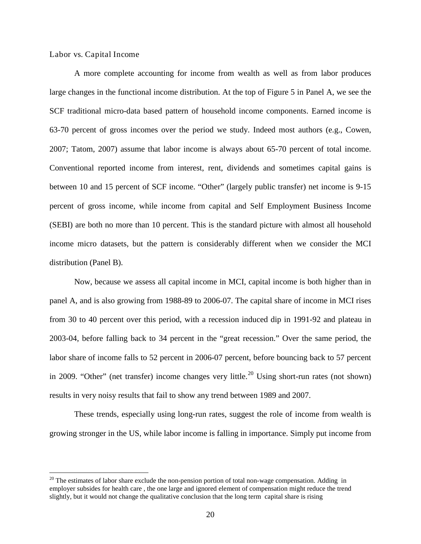Labor vs. Capital Income

A more complete accounting for income from wealth as well as from labor produces large changes in the functional income distribution. At the top of Figure 5 in Panel A, we see the SCF traditional micro-data based pattern of household income components. Earned income is 63-70 percent of gross incomes over the period we study. Indeed most authors (e.g., Cowen, 2007; Tatom, 2007) assume that labor income is always about 65-70 percent of total income. Conventional reported income from interest, rent, dividends and sometimes capital gains is between 10 and 15 percent of SCF income. "Other" (largely public transfer) net income is 9-15 percent of gross income, while income from capital and Self Employment Business Income (SEBI) are both no more than 10 percent. This is the standard picture with almost all household income micro datasets, but the pattern is considerably different when we consider the MCI distribution (Panel B).

Now, because we assess all capital income in MCI, capital income is both higher than in panel A, and is also growing from 1988-89 to 2006-07. The capital share of income in MCI rises from 30 to 40 percent over this period, with a recession induced dip in 1991-92 and plateau in 2003-04, before falling back to 34 percent in the "great recession." Over the same period, the labor share of income falls to 52 percent in 2006-07 percent, before bouncing back to 57 percent in [20](#page-19-0)09. "Other" (net transfer) income changes very little.<sup>20</sup> Using short-run rates (not shown) results in very noisy results that fail to show any trend between 1989 and 2007.

These trends, especially using long-run rates, suggest the role of income from wealth is growing stronger in the US, while labor income is falling in importance. Simply put income from

<span id="page-19-0"></span> $20$  The estimates of labor share exclude the non-pension portion of total non-wage compensation. Adding in employer subsides for health care , the one large and ignored element of compensation might reduce the trend slightly, but it would not change the qualitative conclusion that the long term capital share is rising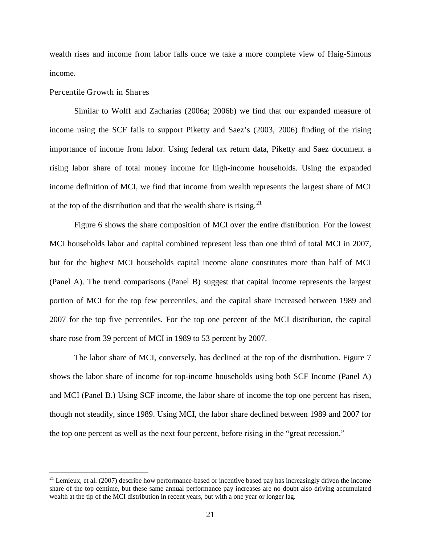wealth rises and income from labor falls once we take a more complete view of Haig-Simons income.

### Percentile Growth in Shares

Similar to Wolff and Zacharias (2006a; 2006b) we find that our expanded measure of income using the SCF fails to support Piketty and Saez's (2003, 2006) finding of the rising importance of income from labor. Using federal tax return data, Piketty and Saez document a rising labor share of total money income for high-income households. Using the expanded income definition of MCI, we find that income from wealth represents the largest share of MCI at the top of the distribution and that the wealth share is rising.<sup>[21](#page-20-0)</sup>

Figure 6 shows the share composition of MCI over the entire distribution. For the lowest MCI households labor and capital combined represent less than one third of total MCI in 2007, but for the highest MCI households capital income alone constitutes more than half of MCI (Panel A). The trend comparisons (Panel B) suggest that capital income represents the largest portion of MCI for the top few percentiles, and the capital share increased between 1989 and 2007 for the top five percentiles. For the top one percent of the MCI distribution, the capital share rose from 39 percent of MCI in 1989 to 53 percent by 2007.

The labor share of MCI, conversely, has declined at the top of the distribution. Figure 7 shows the labor share of income for top-income households using both SCF Income (Panel A) and MCI (Panel B.) Using SCF income, the labor share of income the top one percent has risen, though not steadily, since 1989. Using MCI, the labor share declined between 1989 and 2007 for the top one percent as well as the next four percent, before rising in the "great recession."

<span id="page-20-0"></span> $^{21}$  Lemieux, et al. (2007) describe how performance-based or incentive based pay has increasingly driven the income share of the top centime, but these same annual performance pay increases are no doubt also driving accumulated wealth at the tip of the MCI distribution in recent years, but with a one year or longer lag.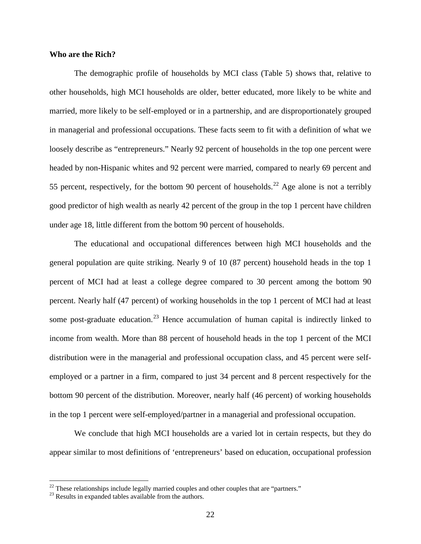### **Who are the Rich?**

The demographic profile of households by MCI class (Table 5) shows that, relative to other households, high MCI households are older, better educated, more likely to be white and married, more likely to be self-employed or in a partnership, and are disproportionately grouped in managerial and professional occupations. These facts seem to fit with a definition of what we loosely describe as "entrepreneurs." Nearly 92 percent of households in the top one percent were headed by non-Hispanic whites and 92 percent were married, compared to nearly 69 percent and 55 percent, respectively, for the bottom 90 percent of households.<sup>[22](#page-21-0)</sup> Age alone is not a terribly good predictor of high wealth as nearly 42 percent of the group in the top 1 percent have children under age 18, little different from the bottom 90 percent of households.

The educational and occupational differences between high MCI households and the general population are quite striking. Nearly 9 of 10 (87 percent) household heads in the top 1 percent of MCI had at least a college degree compared to 30 percent among the bottom 90 percent. Nearly half (47 percent) of working households in the top 1 percent of MCI had at least some post-graduate education.<sup>[23](#page-21-1)</sup> Hence accumulation of human capital is indirectly linked to income from wealth. More than 88 percent of household heads in the top 1 percent of the MCI distribution were in the managerial and professional occupation class, and 45 percent were selfemployed or a partner in a firm, compared to just 34 percent and 8 percent respectively for the bottom 90 percent of the distribution. Moreover, nearly half (46 percent) of working households in the top 1 percent were self-employed/partner in a managerial and professional occupation.

We conclude that high MCI households are a varied lot in certain respects, but they do appear similar to most definitions of 'entrepreneurs' based on education, occupational profession

<span id="page-21-1"></span><span id="page-21-0"></span><sup>&</sup>lt;sup>22</sup> These relationships include legally married couples and other couples that are "partners."  $^{23}$  Results in expanded tables available from the authors.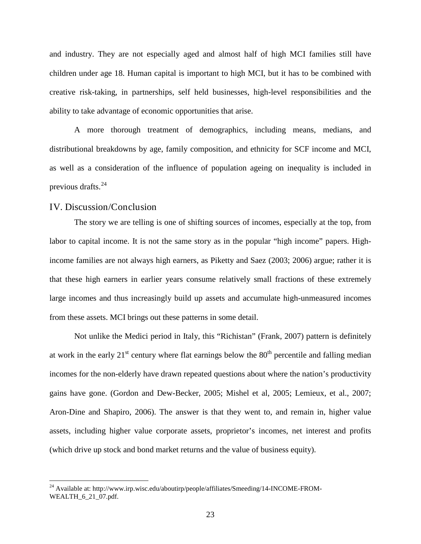and industry. They are not especially aged and almost half of high MCI families still have children under age 18. Human capital is important to high MCI, but it has to be combined with creative risk-taking, in partnerships, self held businesses, high-level responsibilities and the ability to take advantage of economic opportunities that arise.

A more thorough treatment of demographics, including means, medians, and distributional breakdowns by age, family composition, and ethnicity for SCF income and MCI, as well as a consideration of the influence of population ageing on inequality is included in previous drafts.[24](#page-22-0)

## IV. Discussion/Conclusion

The story we are telling is one of shifting sources of incomes, especially at the top, from labor to capital income. It is not the same story as in the popular "high income" papers. Highincome families are not always high earners, as Piketty and Saez (2003; 2006) argue; rather it is that these high earners in earlier years consume relatively small fractions of these extremely large incomes and thus increasingly build up assets and accumulate high-unmeasured incomes from these assets. MCI brings out these patterns in some detail.

Not unlike the Medici period in Italy, this "Richistan" (Frank, 2007) pattern is definitely at work in the early  $21<sup>st</sup>$  century where flat earnings below the  $80<sup>th</sup>$  percentile and falling median incomes for the non-elderly have drawn repeated questions about where the nation's productivity gains have gone. (Gordon and Dew-Becker, 2005; Mishel et al, 2005; Lemieux, et al., 2007; Aron-Dine and Shapiro, 2006). The answer is that they went to, and remain in, higher value assets, including higher value corporate assets, proprietor's incomes, net interest and profits (which drive up stock and bond market returns and the value of business equity).

<span id="page-22-0"></span><sup>&</sup>lt;sup>24</sup> Available at: http://www.irp.wisc.edu/aboutirp/people/affiliates/Smeeding/14-INCOME-FROM-WEALTH 6\_21\_07.pdf.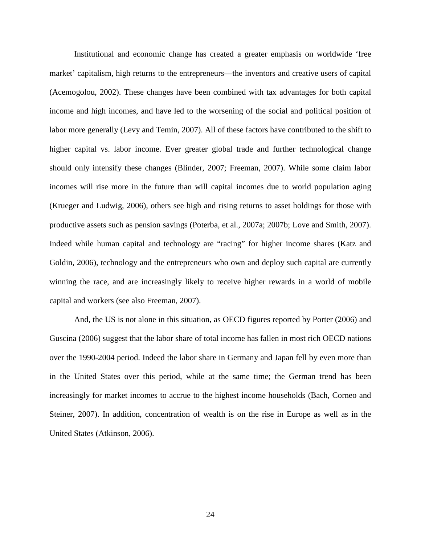Institutional and economic change has created a greater emphasis on worldwide 'free market' capitalism, high returns to the entrepreneurs—the inventors and creative users of capital (Acemogolou, 2002). These changes have been combined with tax advantages for both capital income and high incomes, and have led to the worsening of the social and political position of labor more generally (Levy and Temin, 2007). All of these factors have contributed to the shift to higher capital vs. labor income. Ever greater global trade and further technological change should only intensify these changes (Blinder, 2007; Freeman, 2007). While some claim labor incomes will rise more in the future than will capital incomes due to world population aging (Krueger and Ludwig, 2006), others see high and rising returns to asset holdings for those with productive assets such as pension savings (Poterba, et al., 2007a; 2007b; Love and Smith, 2007). Indeed while human capital and technology are "racing" for higher income shares (Katz and Goldin, 2006), technology and the entrepreneurs who own and deploy such capital are currently winning the race, and are increasingly likely to receive higher rewards in a world of mobile capital and workers (see also Freeman, 2007).

And, the US is not alone in this situation, as OECD figures reported by Porter (2006) and Guscina (2006) suggest that the labor share of total income has fallen in most rich OECD nations over the 1990-2004 period. Indeed the labor share in Germany and Japan fell by even more than in the United States over this period, while at the same time; the German trend has been increasingly for market incomes to accrue to the highest income households (Bach, Corneo and Steiner, 2007). In addition, concentration of wealth is on the rise in Europe as well as in the United States (Atkinson, 2006).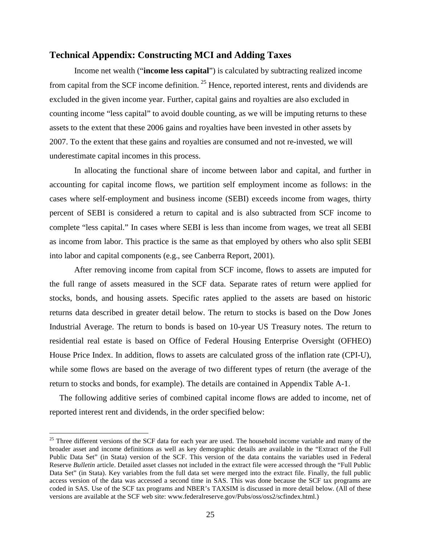### **Technical Appendix: Constructing MCI and Adding Taxes**

Income net wealth ("**income less capital**") is calculated by subtracting realized income from capital from the SCF income definition. <sup>[25](#page-24-0)</sup> Hence, reported interest, rents and dividends are excluded in the given income year. Further, capital gains and royalties are also excluded in counting income "less capital" to avoid double counting, as we will be imputing returns to these assets to the extent that these 2006 gains and royalties have been invested in other assets by 2007. To the extent that these gains and royalties are consumed and not re-invested, we will underestimate capital incomes in this process.

In allocating the functional share of income between labor and capital, and further in accounting for capital income flows, we partition self employment income as follows: in the cases where self-employment and business income (SEBI) exceeds income from wages, thirty percent of SEBI is considered a return to capital and is also subtracted from SCF income to complete "less capital." In cases where SEBI is less than income from wages, we treat all SEBI as income from labor. This practice is the same as that employed by others who also split SEBI into labor and capital components (e.g., see Canberra Report, 2001).

After removing income from capital from SCF income, flows to assets are imputed for the full range of assets measured in the SCF data. Separate rates of return were applied for stocks, bonds, and housing assets. Specific rates applied to the assets are based on historic returns data described in greater detail below. The return to stocks is based on the Dow Jones Industrial Average. The return to bonds is based on 10-year US Treasury notes. The return to residential real estate is based on Office of Federal Housing Enterprise Oversight (OFHEO) House Price Index. In addition, flows to assets are calculated gross of the inflation rate (CPI-U), while some flows are based on the average of two different types of return (the average of the return to stocks and bonds, for example). The details are contained in Appendix Table A-1.

The following additive series of combined capital income flows are added to income, net of reported interest rent and dividends, in the order specified below:

<span id="page-24-0"></span> $25$  Three different versions of the SCF data for each year are used. The household income variable and many of the broader asset and income definitions as well as key demographic details are available in the "Extract of the Full Public Data Set" (in Stata) version of the SCF. This version of the data contains the variables used in Federal Reserve *Bulletin* article. Detailed asset classes not included in the extract file were accessed through the "Full Public Data Set" (in Stata). Key variables from the full data set were merged into the extract file. Finally, the full public access version of the data was accessed a second time in SAS. This was done because the SCF tax programs are coded in SAS. Use of the SCF tax programs and NBER's TAXSIM is discussed in more detail below. (All of these versions are available at the SCF web site: www.federalreserve.gov/Pubs/oss/oss2/scfindex.html.)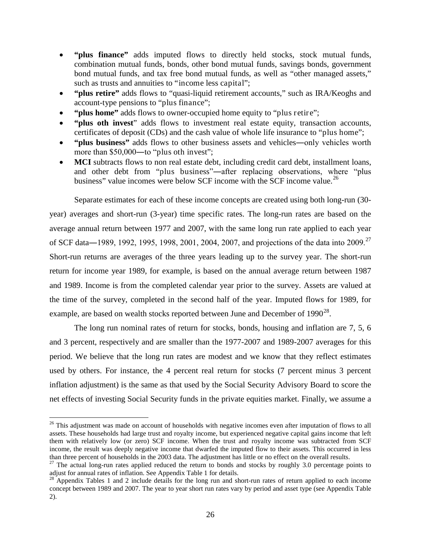- **"plus finance"** adds imputed flows to directly held stocks, stock mutual funds, combination mutual funds, bonds, other bond mutual funds, savings bonds, government bond mutual funds, and tax free bond mutual funds, as well as "other managed assets," such as trusts and annuities to "income less capital";
- **"plus retire"** adds flows to "quasi-liquid retirement accounts," such as IRA/Keoghs and account-type pensions to "plus finance";
- **"plus home"** adds flows to owner-occupied home equity to "plus retire";
- **"plus oth invest**" adds flows to investment real estate equity, transaction accounts, certificates of deposit (CDs) and the cash value of whole life insurance to "plus home";
- **"plus business"** adds flows to other business assets and vehicles―only vehicles worth more than \$50,000—to "plus oth invest";
- **MCI** subtracts flows to non real estate debt, including credit card debt, installment loans, and other debt from "plus business"―after replacing observations, where "plus business" value incomes were below SCF income with the SCF income value.<sup>[26](#page-25-0)</sup>

Separate estimates for each of these income concepts are created using both long-run (30 year) averages and short-run (3-year) time specific rates. The long-run rates are based on the average annual return between 1977 and 2007, with the same long run rate applied to each year of SCF data—1989, 1992, 1995, 1998, 2001, 2004, 2007, and projections of the data into 2009.<sup>[27](#page-25-1)</sup> Short-run returns are averages of the three years leading up to the survey year. The short-run return for income year 1989, for example, is based on the annual average return between 1987 and 1989. Income is from the completed calendar year prior to the survey. Assets are valued at the time of the survey, completed in the second half of the year. Imputed flows for 1989, for example, are based on wealth stocks reported between June and December of  $1990^{28}$  $1990^{28}$  $1990^{28}$ .

The long run nominal rates of return for stocks, bonds, housing and inflation are 7, 5, 6 and 3 percent, respectively and are smaller than the 1977-2007 and 1989-2007 averages for this period. We believe that the long run rates are modest and we know that they reflect estimates used by others. For instance, the 4 percent real return for stocks (7 percent minus 3 percent inflation adjustment) is the same as that used by the Social Security Advisory Board to score the net effects of investing Social Security funds in the private equities market. Finally, we assume a

<span id="page-25-0"></span><sup>&</sup>lt;sup>26</sup> This adjustment was made on account of households with negative incomes even after imputation of flows to all assets. These households had large trust and royalty income, but experienced negative capital gains income that left them with relatively low (or zero) SCF income. When the trust and royalty income was subtracted from SCF income, the result was deeply negative income that dwarfed the imputed flow to their assets. This occurred in less<br>than three percent of households in the 2003 data. The adjustment has little or no effect on the overall re

<span id="page-25-1"></span> $27$  The actual long-run rates applied reduced the return to bonds and stocks by roughly 3.0 percentage points to adjust for annual rates of inflation. See Appendix Table 1 for details.

<span id="page-25-2"></span> $28$  Appendix Tables 1 and 2 include details for the long run and short-run rates of return applied to each income concept between 1989 and 2007. The year to year short run rates vary by period and asset type (see Appendix Table 2).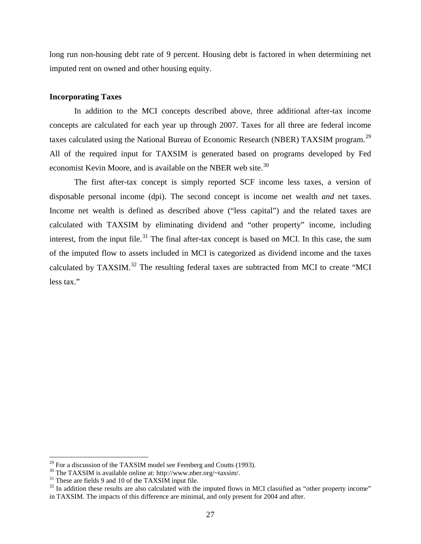long run non-housing debt rate of 9 percent. Housing debt is factored in when determining net imputed rent on owned and other housing equity.

### **Incorporating Taxes**

In addition to the MCI concepts described above, three additional after-tax income concepts are calculated for each year up through 2007. Taxes for all three are federal income taxes calculated using the National Bureau of Economic Research (NBER) TAXSIM program.<sup>[29](#page-26-0)</sup> All of the required input for TAXSIM is generated based on programs developed by Fed economist Kevin Moore, and is available on the NBER web site.<sup>[30](#page-26-1)</sup>

The first after-tax concept is simply reported SCF income less taxes, a version of disposable personal income (dpi). The second concept is income net wealth *and* net taxes. Income net wealth is defined as described above ("less capital") and the related taxes are calculated with TAXSIM by eliminating dividend and "other property" income, including interest, from the input file.<sup>[31](#page-26-2)</sup> The final after-tax concept is based on MCI. In this case, the sum of the imputed flow to assets included in MCI is categorized as dividend income and the taxes calculated by TAXSIM.<sup>[32](#page-26-3)</sup> The resulting federal taxes are subtracted from MCI to create "MCI less tax."

<span id="page-26-2"></span><span id="page-26-1"></span>

<span id="page-26-3"></span>

<span id="page-26-0"></span><sup>&</sup>lt;sup>29</sup> For a discussion of the TAXSIM model see Feenberg and Coutts (1993).<br><sup>30</sup> The TAXSIM is available online at: http://www.nber.org/~taxsim/.<br><sup>31</sup> These are fields 9 and 10 of the TAXSIM input file.<br><sup>32</sup> In addition the in TAXSIM. The impacts of this difference are minimal, and only present for 2004 and after.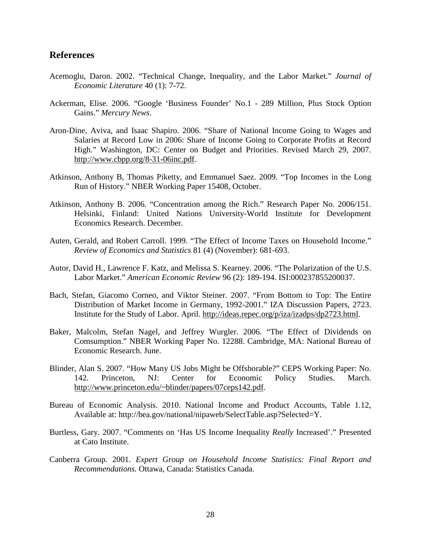# **References**

- Acemoglu, Daron. 2002. "Technical Change, Inequality, and the Labor Market." *Journal of Economic Literature* 40 (1): 7-72.
- Ackerman, Elise. 2006. "Google 'Business Founder' No.1 289 Million, Plus Stock Option Gains." *Mercury News*.
- Aron-Dine, Aviva, and Isaac Shapiro. 2006. "Share of National Income Going to Wages and Salaries at Record Low in 2006: Share of Income Going to Corporate Profits at Record High." Washington, DC: Center on Budget and Priorities. Revised March 29, 2007. http://www.cbpp.org/8-31-06inc.pdf.
- Atkinson, Anthony B, Thomas Piketty, and Emmanuel Saez. 2009. "Top Incomes in the Long Run of History." NBER Working Paper 15408, October.
- Atkinson, Anthony B. 2006. "Concentration among the Rich." Research Paper No. 2006/151. Helsinki, Finland: United Nations University-World Institute for Development Economics Research. December.
- Auten, Gerald, and Robert Carroll. 1999. "The Effect of Income Taxes on Household Income." *Review of Economics and Statistics* 81 (4) (November): 681-693.
- Autor, David H., Lawrence F. Katz, and Melissa S. Kearney. 2006. "The Polarization of the U.S. Labor Market." *American Economic Review* 96 (2): 189-194. ISI:000237855200037.
- Bach, Stefan, Giacomo Corneo, and Viktor Steiner. 2007. "From Bottom to Top: The Entire Distribution of Market Income in Germany, 1992-2001." IZA Discussion Papers, 2723. Institute for the Study of Labor. April. http://ideas.repec.org/p/iza/izadps/dp2723.html.
- Baker, Malcolm, Stefan Nagel, and Jeffrey Wurgler. 2006. "The Effect of Dividends on Comsumption." NBER Working Paper No. 12288. Cambridge, MA: National Bureau of Economic Research. June.
- Blinder, Alan S. 2007. "How Many US Jobs Might be Offshorable?" CEPS Working Paper: No. 142. Princeton, NJ: Center for Economic Policy Studies. March. http://www.princeton.edu/~blinder/papers/07ceps142.pdf.
- Bureau of Economic Analysis. 2010. National Income and Product Accounts, Table 1.12, Available at: http://bea.gov/national/nipaweb/SelectTable.asp?Selected=Y.
- Burtless, Gary. 2007. "Comments on 'Has US Income Inequality *Really* Increased'." Presented at Cato Institute.
- Canberra Group. 2001. *Expert Group on Household Income Statistics: Final Report and Recommendations.* Ottawa, Canada: Statistics Canada.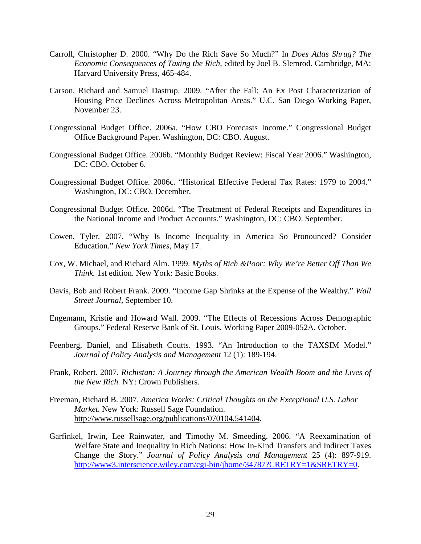- Carroll, Christopher D. 2000. "Why Do the Rich Save So Much?" In *Does Atlas Shrug? The Economic Consequences of Taxing the Rich*, edited by Joel B. Slemrod. Cambridge, MA: Harvard University Press, 465-484.
- Carson, Richard and Samuel Dastrup. 2009. "After the Fall: An Ex Post Characterization of Housing Price Declines Across Metropolitan Areas." U.C. San Diego Working Paper, November 23.
- Congressional Budget Office. 2006a. "How CBO Forecasts Income." Congressional Budget Office Background Paper. Washington, DC: CBO. August.
- Congressional Budget Office. 2006b. "Monthly Budget Review: Fiscal Year 2006." Washington, DC: CBO. October 6.
- Congressional Budget Office. 2006c. "Historical Effective Federal Tax Rates: 1979 to 2004." Washington, DC: CBO. December.
- Congressional Budget Office. 2006d. "The Treatment of Federal Receipts and Expenditures in the National Income and Product Accounts." Washington, DC: CBO. September.
- Cowen, Tyler. 2007. "Why Is Income Inequality in America So Pronounced? Consider Education." *New York Times*, May 17.
- Cox, W. Michael, and Richard Alm. 1999. *Myths of Rich &Poor: Why We're Better Off Than We Think.* 1st edition. New York: Basic Books.
- Davis, Bob and Robert Frank. 2009. "Income Gap Shrinks at the Expense of the Wealthy." *Wall Street Journal*, September 10.
- Engemann, Kristie and Howard Wall. 2009. "The Effects of Recessions Across Demographic Groups." Federal Reserve Bank of St. Louis, Working Paper 2009-052A, October.
- Feenberg, Daniel, and Elisabeth Coutts. 1993. "An Introduction to the TAXSIM Model." *Journal of Policy Analysis and Management* 12 (1): 189-194.
- Frank, Robert. 2007. *Richistan: A Journey through the American Wealth Boom and the Lives of the New Rich.* NY: Crown Publishers.
- Freeman, Richard B. 2007. *America Works: Critical Thoughts on the Exceptional U.S. Labor Market.* New York: Russell Sage Foundation. http://www.russellsage.org/publications/070104.541404.
- Garfinkel, Irwin, Lee Rainwater, and Timothy M. Smeeding. 2006. "A Reexamination of Welfare State and Inequality in Rich Nations: How In-Kind Transfers and Indirect Taxes Change the Story." *Journal of Policy Analysis and Management* 25 (4): 897-919. [http://www3.interscience.wiley.com/cgi-bin/jhome/34787?CRETRY=1&SRETRY=0.](http://www3.interscience.wiley.com/cgi-bin/jhome/34787?CRETRY=1&SRETRY=0)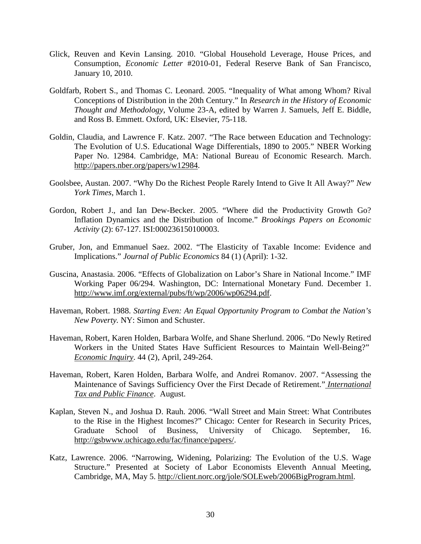- Glick, Reuven and Kevin Lansing. 2010. "Global Household Leverage, House Prices, and Consumption, *Economic Letter* #2010-01, Federal Reserve Bank of San Francisco, January 10, 2010.
- Goldfarb, Robert S., and Thomas C. Leonard. 2005. "Inequality of What among Whom? Rival Conceptions of Distribution in the 20th Century." In *Research in the History of Economic Thought and Methodology*, Volume 23-A, edited by Warren J. Samuels, Jeff E. Biddle, and Ross B. Emmett. Oxford, UK: Elsevier, 75-118.
- Goldin, Claudia, and Lawrence F. Katz. 2007. "The Race between Education and Technology: The Evolution of U.S. Educational Wage Differentials, 1890 to 2005." NBER Working Paper No. 12984. Cambridge, MA: National Bureau of Economic Research. March. http://papers.nber.org/papers/w12984.
- Goolsbee, Austan. 2007. "Why Do the Richest People Rarely Intend to Give It All Away?" *New York Times*, March 1.
- Gordon, Robert J., and Ian Dew-Becker. 2005. "Where did the Productivity Growth Go? Inflation Dynamics and the Distribution of Income." *Brookings Papers on Economic Activity* (2): 67-127. ISI:000236150100003.
- Gruber, Jon, and Emmanuel Saez. 2002. "The Elasticity of Taxable Income: Evidence and Implications." *Journal of Public Economics* 84 (1) (April): 1-32.
- Guscina, Anastasia. 2006. "Effects of Globalization on Labor's Share in National Income." IMF Working Paper 06/294. Washington, DC: International Monetary Fund. December 1. http://www.imf.org/external/pubs/ft/wp/2006/wp06294.pdf.
- Haveman, Robert. 1988. *Starting Even: An Equal Opportunity Program to Combat the Nation's New Poverty.* NY: Simon and Schuster.
- Haveman, Robert, Karen Holden, Barbara Wolfe, and Shane Sherlund. 2006. "Do Newly Retired Workers in the United States Have Sufficient Resources to Maintain Well-Being?" *Economic Inquiry*. 44 (2), April, 249-264.
- Haveman, Robert, Karen Holden, Barbara Wolfe, and Andrei Romanov. 2007. "Assessing the Maintenance of Savings Sufficiency Over the First Decade of Retirement." *International Tax and Public Finance*. August.
- Kaplan, Steven N., and Joshua D. Rauh. 2006. "Wall Street and Main Street: What Contributes to the Rise in the Highest Incomes?" Chicago: Center for Research in Security Prices, Graduate School of Business, University of Chicago. September, 16. http://gsbwww.uchicago.edu/fac/finance/papers/.
- Katz, Lawrence. 2006. "Narrowing, Widening, Polarizing: The Evolution of the U.S. Wage Structure." Presented at Society of Labor Economists Eleventh Annual Meeting, Cambridge, MA, May 5. http://client.norc.org/jole/SOLEweb/2006BigProgram.html.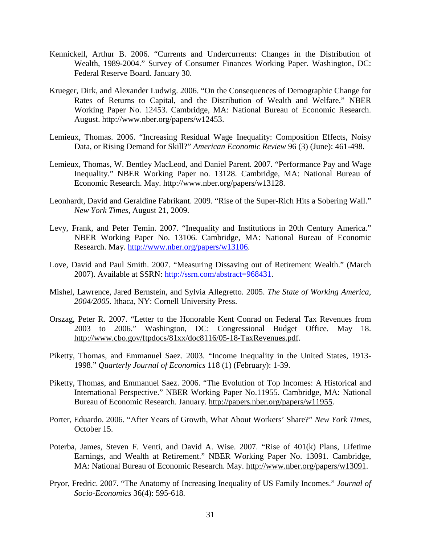- Kennickell, Arthur B. 2006. "Currents and Undercurrents: Changes in the Distribution of Wealth, 1989-2004." Survey of Consumer Finances Working Paper. Washington, DC: Federal Reserve Board. January 30.
- Krueger, Dirk, and Alexander Ludwig. 2006. "On the Consequences of Demographic Change for Rates of Returns to Capital, and the Distribution of Wealth and Welfare." NBER Working Paper No. 12453. Cambridge, MA: National Bureau of Economic Research. August. http://www.nber.org/papers/w12453.
- Lemieux, Thomas. 2006. "Increasing Residual Wage Inequality: Composition Effects, Noisy Data, or Rising Demand for Skill?" *American Economic Review* 96 (3) (June): 461-498.
- Lemieux, Thomas, W. Bentley MacLeod, and Daniel Parent. 2007. "Performance Pay and Wage Inequality." NBER Working Paper no. 13128. Cambridge, MA: National Bureau of Economic Research. May. http://www.nber.org/papers/w13128.
- Leonhardt, David and Geraldine Fabrikant. 2009. "Rise of the Super-Rich Hits a Sobering Wall." *New York Times*, August 21, 2009.
- Levy, Frank, and Peter Temin. 2007. "Inequality and Institutions in 20th Century America." NBER Working Paper No. 13106. Cambridge, MA: National Bureau of Economic Research. May. [http://www.nber.org/papers/w13106.](http://www.nber.org/papers/w13106)
- Love, David and Paul Smith. 2007. "Measuring Dissaving out of Retirement Wealth." (March 2007). Available at SSRN: [http://ssrn.com/abstract=968431.](http://ssrn.com/abstract=968431)
- Mishel, Lawrence, Jared Bernstein, and Sylvia Allegretto. 2005. *The State of Working America, 2004/2005.* Ithaca, NY: Cornell University Press.
- Orszag, Peter R. 2007. "Letter to the Honorable Kent Conrad on Federal Tax Revenues from 2003 to 2006." Washington, DC: Congressional Budget Office. May 18. http://www.cbo.gov/ftpdocs/81xx/doc8116/05-18-TaxRevenues.pdf.
- Piketty, Thomas, and Emmanuel Saez. 2003. "Income Inequality in the United States, 1913- 1998." *Quarterly Journal of Economics* 118 (1) (February): 1-39.
- Piketty, Thomas, and Emmanuel Saez. 2006. "The Evolution of Top Incomes: A Historical and International Perspective." NBER Working Paper No.11955. Cambridge, MA: National Bureau of Economic Research. January. http://papers.nber.org/papers/w11955.
- Porter, Eduardo. 2006. "After Years of Growth, What About Workers' Share?" *New York Times*, October 15.
- Poterba, James, Steven F. Venti, and David A. Wise. 2007. "Rise of 401(k) Plans, Lifetime Earnings, and Wealth at Retirement." NBER Working Paper No. 13091. Cambridge, MA: National Bureau of Economic Research. May. http://www.nber.org/papers/w13091.
- Pryor, Fredric. 2007. "The Anatomy of Increasing Inequality of US Family Incomes." *Journal of Socio-Economics* 36(4): 595-618*.*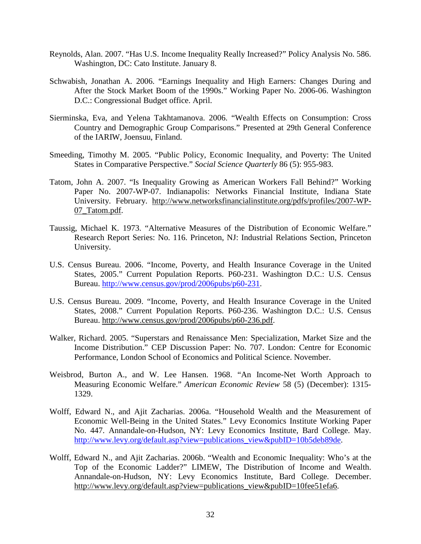- Reynolds, Alan. 2007. "Has U.S. Income Inequality Really Increased?" Policy Analysis No. 586. Washington, DC: Cato Institute. January 8.
- Schwabish, Jonathan A. 2006. "Earnings Inequality and High Earners: Changes During and After the Stock Market Boom of the 1990s." Working Paper No. 2006-06. Washington D.C.: Congressional Budget office. April.
- Sierminska, Eva, and Yelena Takhtamanova. 2006. "Wealth Effects on Consumption: Cross Country and Demographic Group Comparisons." Presented at 29th General Conference of the IARIW, Joensuu, Finland.
- Smeeding, Timothy M. 2005. "Public Policy, Economic Inequality, and Poverty: The United States in Comparative Perspective." *Social Science Quarterly* 86 (5): 955-983.
- Tatom, John A. 2007. "Is Inequality Growing as American Workers Fall Behind?" Working Paper No. 2007-WP-07. Indianapolis: Networks Financial Institute, Indiana State University. February. http://www.networksfinancialinstitute.org/pdfs/profiles/2007-WP-07\_Tatom.pdf.
- Taussig, Michael K. 1973. "Alternative Measures of the Distribution of Economic Welfare." Research Report Series: No. 116. Princeton, NJ: Industrial Relations Section, Princeton University.
- U.S. Census Bureau. 2006. "Income, Poverty, and Health Insurance Coverage in the United States, 2005." Current Population Reports. P60-231. Washington D.C.: U.S. Census Bureau. [http://www.census.gov/prod/2006pubs/p60-231.](http://www.census.gov/prod/2006pubs/p60-231)
- U.S. Census Bureau. 2009. "Income, Poverty, and Health Insurance Coverage in the United States, 2008." Current Population Reports. P60-236. Washington D.C.: U.S. Census Bureau. http://www.census.gov/prod/2006pubs/p60-236.pdf.
- Walker, Richard. 2005. "Superstars and Renaissance Men: Specialization, Market Size and the Income Distribution." CEP Discussion Paper: No. 707. London: Centre for Economic Performance, London School of Economics and Political Science. November.
- Weisbrod, Burton A., and W. Lee Hansen. 1968. "An Income-Net Worth Approach to Measuring Economic Welfare." *American Economic Review* 58 (5) (December): 1315- 1329.
- Wolff, Edward N., and Ajit Zacharias. 2006a. "Household Wealth and the Measurement of Economic Well-Being in the United States." Levy Economics Institute Working Paper No. 447. Annandale-on-Hudson, NY: Levy Economics Institute, Bard College. May. [http://www.levy.org/default.asp?view=publications\\_view&pubID=10b5deb89de.](http://www.levy.org/default.asp?view=publications_view&pubID=10b5deb89de)
- Wolff, Edward N., and Ajit Zacharias. 2006b. "Wealth and Economic Inequality: Who's at the Top of the Economic Ladder?" LIMEW, The Distribution of Income and Wealth. Annandale-on-Hudson, NY: Levy Economics Institute, Bard College. December. http://www.levy.org/default.asp?view=publications\_view&pubID=10fee51efa6.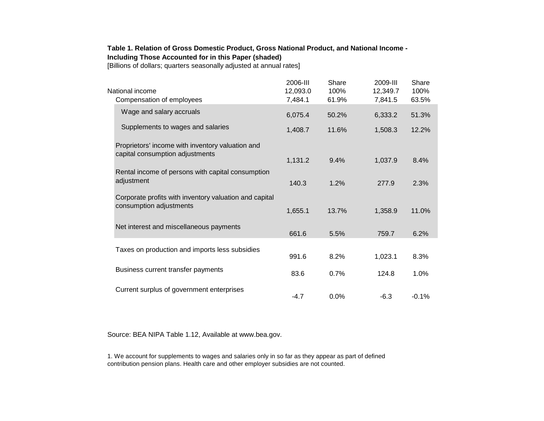### **Table 1. Relation of Gross Domestic Product, Gross National Product, and National Income - Including Those Accounted for in this Paper (shaded)**

[Billions of dollars; quarters seasonally adjusted at annual rates]

| National income<br>Compensation of employees                                        | 2006-III<br>12,093.0<br>7,484.1 | Share<br>100%<br>61.9% | 2009-III<br>12,349.7<br>7,841.5 | Share<br>100%<br>63.5% |  |
|-------------------------------------------------------------------------------------|---------------------------------|------------------------|---------------------------------|------------------------|--|
| Wage and salary accruals                                                            | 6,075.4                         | 50.2%                  | 6,333.2                         | 51.3%                  |  |
| Supplements to wages and salaries                                                   | 1,408.7                         | 11.6%                  | 1,508.3                         | 12.2%                  |  |
| Proprietors' income with inventory valuation and<br>capital consumption adjustments | 1,131.2                         | 9.4%                   | 1,037.9                         | 8.4%                   |  |
| Rental income of persons with capital consumption<br>adjustment                     | 140.3                           | 1.2%                   | 277.9                           | 2.3%                   |  |
| Corporate profits with inventory valuation and capital<br>consumption adjustments   | 1,655.1                         | 13.7%                  | 1,358.9                         | 11.0%                  |  |
| Net interest and miscellaneous payments                                             | 661.6                           | 5.5%                   | 759.7                           | 6.2%                   |  |
| Taxes on production and imports less subsidies                                      | 991.6                           | 8.2%                   | 1,023.1                         | 8.3%                   |  |
| Business current transfer payments                                                  | 83.6                            | 0.7%                   | 124.8                           | 1.0%                   |  |
| Current surplus of government enterprises                                           | $-4.7$                          | 0.0%                   | $-6.3$                          | $-0.1%$                |  |

Source: BEA NIPA Table 1.12, Available at www.bea.gov.

1. We account for supplements to wages and salaries only in so far as they appear as part of defined contribution pension plans. Health care and other employer subsidies are not counted.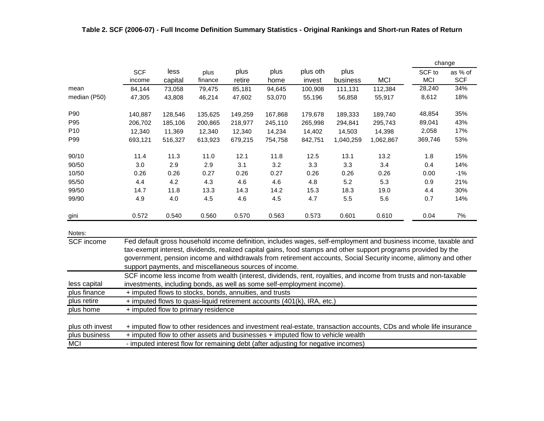|                                  |                      |                                                                                                                                                                                                     |                 |                |                                                                         |                    |                  |                                                                                                                                                                                                                                                                                                                                                     | change               |                       |  |  |
|----------------------------------|----------------------|-----------------------------------------------------------------------------------------------------------------------------------------------------------------------------------------------------|-----------------|----------------|-------------------------------------------------------------------------|--------------------|------------------|-----------------------------------------------------------------------------------------------------------------------------------------------------------------------------------------------------------------------------------------------------------------------------------------------------------------------------------------------------|----------------------|-----------------------|--|--|
|                                  | <b>SCF</b><br>income | less<br>capital                                                                                                                                                                                     | plus<br>finance | plus<br>retire | plus<br>home                                                            | plus oth<br>invest | plus<br>business | <b>MCI</b>                                                                                                                                                                                                                                                                                                                                          | SCF to<br><b>MCI</b> | as % of<br><b>SCF</b> |  |  |
| mean                             | 84,144               | 73,058                                                                                                                                                                                              | 79,475          | 85,181         | 94,645                                                                  | 100,908            | 111,131          | 112,384                                                                                                                                                                                                                                                                                                                                             | 28,240               | 34%                   |  |  |
| median (P50)                     | 47,305               | 43,808                                                                                                                                                                                              | 46,214          | 47,602         | 53,070                                                                  | 55,196             | 56,858           | 55,917                                                                                                                                                                                                                                                                                                                                              | 8,612                | 18%                   |  |  |
| P90                              | 140,887              | 128,546                                                                                                                                                                                             | 135,625         | 149,259        | 167,868                                                                 | 179,678            | 189,333          | 189,740                                                                                                                                                                                                                                                                                                                                             | 48,854               | 35%                   |  |  |
| P95                              | 206,702              | 185,106                                                                                                                                                                                             | 200,865         | 218,977        | 245,110                                                                 | 265,998            | 294,841          | 295,743                                                                                                                                                                                                                                                                                                                                             | 89,041               | 43%                   |  |  |
| P <sub>10</sub>                  | 12,340               | 11,369                                                                                                                                                                                              | 12,340          | 12,340         | 14,234                                                                  | 14,402             | 14,503           | 14,398                                                                                                                                                                                                                                                                                                                                              | 2,058                | 17%                   |  |  |
| P99                              | 693,121              | 516,327                                                                                                                                                                                             | 613,923         | 679,215        | 754,758                                                                 | 842,751            | 1,040,259        | 1,062,867                                                                                                                                                                                                                                                                                                                                           | 369,746              | 53%                   |  |  |
| 90/10                            | 11.4                 | 11.3                                                                                                                                                                                                | 11.0            | 12.1           | 11.8                                                                    | 12.5               | 13.1             | 13.2                                                                                                                                                                                                                                                                                                                                                | 1.8                  | 15%                   |  |  |
| 90/50                            | 3.0                  | 2.9                                                                                                                                                                                                 | 2.9             | 3.1            | 3.2                                                                     | 3.3                | 3.3              | 3.4                                                                                                                                                                                                                                                                                                                                                 | 0.4                  | 14%                   |  |  |
| 10/50                            | 0.26                 | 0.26                                                                                                                                                                                                | 0.27            | 0.26           | 0.27                                                                    | 0.26               | 0.26             | 0.26                                                                                                                                                                                                                                                                                                                                                | 0.00                 | $-1%$                 |  |  |
| 95/50                            | 4.4                  | 4.2                                                                                                                                                                                                 | 4.3             | 4.6            | 4.6                                                                     | 4.8                | 5.2              | 5.3                                                                                                                                                                                                                                                                                                                                                 | 0.9                  | 21%                   |  |  |
| 99/50                            | 14.7                 | 11.8                                                                                                                                                                                                | 13.3            | 14.3           | 14.2                                                                    | 15.3               | 18.3             | 19.0                                                                                                                                                                                                                                                                                                                                                | 4.4                  | 30%                   |  |  |
| 99/90                            | 4.9                  | 4.0                                                                                                                                                                                                 | 4.5             | 4.6            | 4.5                                                                     | 4.7                | 5.5              | 5.6                                                                                                                                                                                                                                                                                                                                                 | 0.7                  | 14%                   |  |  |
| gini                             | 0.572                | 0.540                                                                                                                                                                                               | 0.560           | 0.570          | 0.563                                                                   | 0.573              | 0.601            | 0.610                                                                                                                                                                                                                                                                                                                                               | 0.04                 | 7%                    |  |  |
| Notes:                           |                      |                                                                                                                                                                                                     |                 |                |                                                                         |                    |                  |                                                                                                                                                                                                                                                                                                                                                     |                      |                       |  |  |
| <b>SCF</b> income                |                      |                                                                                                                                                                                                     |                 |                | support payments, and miscellaneous sources of income.                  |                    |                  | Fed default gross household income definition, includes wages, self-employment and business income, taxable and<br>tax-exempt interest, dividends, realized capital gains, food stamps and other support programs provided by the<br>government, pension income and withdrawals from retirement accounts, Social Security income, alimony and other |                      |                       |  |  |
|                                  |                      |                                                                                                                                                                                                     |                 |                |                                                                         |                    |                  | SCF income less income from wealth (interest, dividends, rent, royalties, and income from trusts and non-taxable                                                                                                                                                                                                                                    |                      |                       |  |  |
| less capital                     |                      |                                                                                                                                                                                                     |                 |                | investments, including bonds, as well as some self-employment income).  |                    |                  |                                                                                                                                                                                                                                                                                                                                                     |                      |                       |  |  |
| plus finance                     |                      | + imputed flows to stocks, bonds, annuities, and trusts                                                                                                                                             |                 |                |                                                                         |                    |                  |                                                                                                                                                                                                                                                                                                                                                     |                      |                       |  |  |
| plus retire                      |                      |                                                                                                                                                                                                     |                 |                | + imputed flows to quasi-liquid retirement accounts (401(k), IRA, etc.) |                    |                  |                                                                                                                                                                                                                                                                                                                                                     |                      |                       |  |  |
| plus home                        |                      | + imputed flow to primary residence                                                                                                                                                                 |                 |                |                                                                         |                    |                  |                                                                                                                                                                                                                                                                                                                                                     |                      |                       |  |  |
| plus oth invest<br>plus business |                      | + imputed flow to other residences and investment real-estate, transaction accounts, CDs and whole life insurance<br>+ imputed flow to other assets and businesses + imputed flow to vehicle wealth |                 |                |                                                                         |                    |                  |                                                                                                                                                                                                                                                                                                                                                     |                      |                       |  |  |

| MC | - imputed interest flow for remaining debt (after adjusting for negative incomes) |  |
|----|-----------------------------------------------------------------------------------|--|
|----|-----------------------------------------------------------------------------------|--|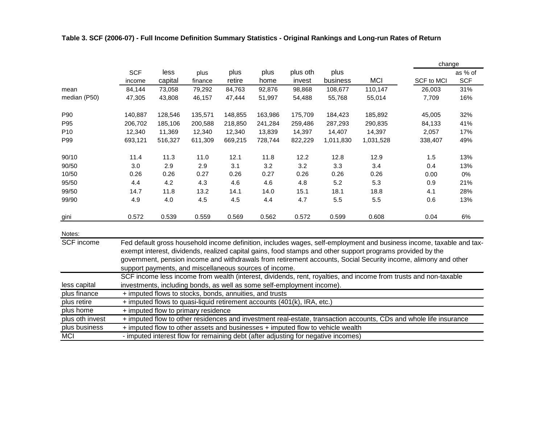|                   |            |         |                                                        |         |         |                                                                        |           |                                                                                                            | change                                                                                                               |            |
|-------------------|------------|---------|--------------------------------------------------------|---------|---------|------------------------------------------------------------------------|-----------|------------------------------------------------------------------------------------------------------------|----------------------------------------------------------------------------------------------------------------------|------------|
|                   | <b>SCF</b> | less    | plus                                                   | plus    | plus    | plus oth                                                               | plus      |                                                                                                            |                                                                                                                      | as % of    |
|                   | income     | capital | finance                                                | retire  | home    | invest                                                                 | business  | <b>MCI</b>                                                                                                 | SCF to MCI                                                                                                           | <b>SCF</b> |
| mean              | 84,144     | 73,058  | 79,292                                                 | 84,763  | 92,876  | 98,868                                                                 | 108,677   | 110,147                                                                                                    | 26,003                                                                                                               | 31%        |
| median (P50)      | 47,305     | 43,808  | 46,157                                                 | 47,444  | 51,997  | 54,488                                                                 | 55,768    | 55,014                                                                                                     | 7,709                                                                                                                | 16%        |
| P90               | 140,887    | 128,546 | 135,571                                                | 148,855 | 163,986 | 175,709                                                                | 184,423   | 185,892                                                                                                    | 45,005                                                                                                               | 32%        |
| P95               | 206,702    | 185,106 | 200,588                                                | 218,850 | 241,284 | 259,486                                                                | 287,293   | 290,835                                                                                                    | 84,133                                                                                                               | 41%        |
| P <sub>10</sub>   | 12,340     | 11,369  | 12,340                                                 | 12,340  | 13,839  | 14,397                                                                 | 14,407    | 14,397                                                                                                     | 2,057                                                                                                                | 17%        |
| P99               | 693,121    | 516,327 | 611,309                                                | 669,215 | 728,744 | 822,229                                                                | 1,011,830 | 1,031,528                                                                                                  | 338,407                                                                                                              | 49%        |
| 90/10             | 11.4       | 11.3    | 11.0                                                   | 12.1    | 11.8    | 12.2                                                                   | 12.8      | 12.9                                                                                                       | 1.5                                                                                                                  | 13%        |
| 90/50             | 3.0        | 2.9     | 2.9                                                    | 3.1     | 3.2     | 3.2                                                                    | 3.3       | 3.4                                                                                                        | 0.4                                                                                                                  | 13%        |
| 10/50             | 0.26       | 0.26    | 0.27                                                   | 0.26    | 0.27    | 0.26                                                                   | 0.26      | 0.26                                                                                                       | 0.00                                                                                                                 | 0%         |
| 95/50             | 4.4        | 4.2     | 4.3                                                    | 4.6     | 4.6     | 4.8                                                                    | 5.2       | 5.3                                                                                                        | 0.9                                                                                                                  | 21%        |
| 99/50             | 14.7       | 11.8    | 13.2                                                   | 14.1    | 14.0    | 15.1                                                                   | 18.1      | 18.8                                                                                                       | 4.1                                                                                                                  | 28%        |
| 99/90             | 4.9        | 4.0     | 4.5                                                    | 4.5     | 4.4     | 4.7                                                                    | 5.5       | 5.5                                                                                                        | 0.6                                                                                                                  | 13%        |
| gini              | 0.572      | 0.539   | 0.559                                                  | 0.569   | 0.562   | 0.572                                                                  | 0.599     | 0.608                                                                                                      | 0.04                                                                                                                 | 6%         |
| Notes:            |            |         |                                                        |         |         |                                                                        |           |                                                                                                            |                                                                                                                      |            |
| <b>SCF</b> income |            |         |                                                        |         |         |                                                                        |           |                                                                                                            | Fed default gross household income definition, includes wages, self-employment and business income, taxable and tax- |            |
|                   |            |         |                                                        |         |         |                                                                        |           | exempt interest, dividends, realized capital gains, food stamps and other support programs provided by the |                                                                                                                      |            |
|                   |            |         |                                                        |         |         |                                                                        |           |                                                                                                            | government, pension income and withdrawals from retirement accounts, Social Security income, alimony and other       |            |
|                   |            |         | support payments, and miscellaneous sources of income. |         |         |                                                                        |           |                                                                                                            |                                                                                                                      |            |
|                   |            |         |                                                        |         |         |                                                                        |           |                                                                                                            | SCF income less income from wealth (interest, dividends, rent, royalties, and income from trusts and non-taxable     |            |
| less capital      |            |         |                                                        |         |         | investments, including bonds, as well as some self-employment income). |           |                                                                                                            |                                                                                                                      |            |
|                   |            |         |                                                        |         |         |                                                                        |           |                                                                                                            |                                                                                                                      |            |

# **Table 3. SCF (2006-07) - Full Income Definition Summary Statistics - Original Rankings and Long-run Rates of Return**

| plus finance    | + imputed flows to stocks, bonds, annuities, and trusts                                                           |
|-----------------|-------------------------------------------------------------------------------------------------------------------|
| plus retire     | + imputed flows to quasi-liquid retirement accounts (401(k), IRA, etc.)                                           |
| plus home       | + imputed flow to primary residence                                                                               |
| plus oth invest | + imputed flow to other residences and investment real-estate, transaction accounts, CDs and whole life insurance |
| plus business   | + imputed flow to other assets and businesses + imputed flow to vehicle wealth                                    |
| MCI             | - imputed interest flow for remaining debt (after adjusting for negative incomes)                                 |
|                 |                                                                                                                   |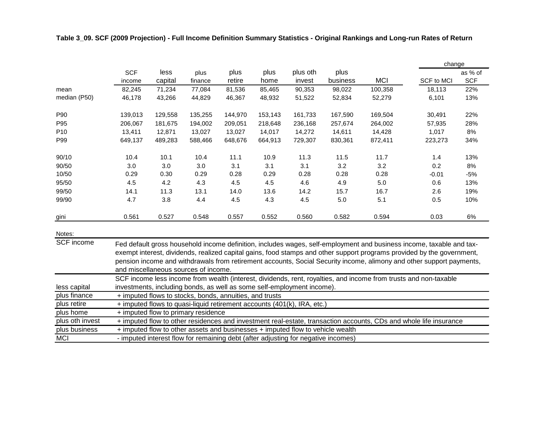|                   |                      |                 |                 |                |              |                    |                  |            | change                                                                                                                                                                                                                                         |                       |  |  |
|-------------------|----------------------|-----------------|-----------------|----------------|--------------|--------------------|------------------|------------|------------------------------------------------------------------------------------------------------------------------------------------------------------------------------------------------------------------------------------------------|-----------------------|--|--|
|                   | <b>SCF</b><br>income | less<br>capital | plus<br>finance | plus<br>retire | plus<br>home | plus oth<br>invest | plus<br>business | <b>MCI</b> | SCF to MCI                                                                                                                                                                                                                                     | as % of<br><b>SCF</b> |  |  |
| mean              | 82,245               | 71,234          | 77,084          | 81,536         | 85,465       | 90,353             | 98,022           | 100,358    | 18,113                                                                                                                                                                                                                                         | 22%                   |  |  |
| median (P50)      | 46,178               | 43,266          | 44,829          | 46,367         | 48,932       | 51,522             | 52,834           | 52,279     | 6,101                                                                                                                                                                                                                                          | 13%                   |  |  |
| P90               | 139,013              | 129,558         | 135,255         | 144,970        | 153,143      | 161,733            | 167,590          | 169,504    | 30,491                                                                                                                                                                                                                                         | 22%                   |  |  |
| P95               | 206,067              | 181,675         | 194,002         | 209,051        | 218,648      | 236,168            | 257,674          | 264,002    | 57,935                                                                                                                                                                                                                                         | 28%                   |  |  |
| P <sub>10</sub>   | 13,411               | 12,871          | 13,027          | 13,027         | 14,017       | 14,272             | 14,611           | 14,428     | 1,017                                                                                                                                                                                                                                          | 8%                    |  |  |
| P99               | 649,137              | 489,283         | 588,466         | 648,676        | 664,913      | 729,307            | 830,361          | 872,411    | 223,273                                                                                                                                                                                                                                        | 34%                   |  |  |
| 90/10             | 10.4                 | 10.1            | 10.4            | 11.1           | 10.9         | 11.3               | 11.5             | 11.7       | 1.4                                                                                                                                                                                                                                            | 13%                   |  |  |
| 90/50             | 3.0                  | 3.0             | 3.0             | 3.1            | 3.1          | 3.1                | 3.2              | 3.2        | 0.2                                                                                                                                                                                                                                            | 8%                    |  |  |
| 10/50             | 0.29                 | 0.30            | 0.29            | 0.28           | 0.29         | 0.28               | 0.28             | 0.28       | $-0.01$                                                                                                                                                                                                                                        | $-5%$                 |  |  |
| 95/50             | 4.5                  | 4.2             | 4.3             | 4.5            | 4.5          | 4.6                | 4.9              | 5.0        | 0.6                                                                                                                                                                                                                                            | 13%                   |  |  |
| 99/50             | 14.1                 | 11.3            | 13.1            | 14.0           | 13.6         | 14.2               | 15.7             | 16.7       | 2.6                                                                                                                                                                                                                                            | 19%                   |  |  |
| 99/90             | 4.7                  | 3.8             | 4.4             | 4.5            | 4.3          | 4.5                | 5.0              | 5.1        | 0.5                                                                                                                                                                                                                                            | 10%                   |  |  |
| gini              | 0.561                | 0.527           | 0.548           | 0.557          | 0.552        | 0.560              | 0.582            | 0.594      | 0.03                                                                                                                                                                                                                                           | 6%                    |  |  |
| Notes:            |                      |                 |                 |                |              |                    |                  |            |                                                                                                                                                                                                                                                |                       |  |  |
| <b>SCF</b> income |                      |                 |                 |                |              |                    |                  |            | Fed default gross household income definition, includes wages, self-employment and business income, taxable and tax-<br>exempt interest, dividends, realized capital gains, food stamps and other support programs provided by the government, |                       |  |  |

### **Table 3\_09. SCF (2009 Projection) - Full Income Definition Summary Statistics - Original Rankings and Long-run Rates of Return**

less capital plus finance plus retire pension income and withdrawals from retirement accounts, Social Security income, alimony and other support payments, and miscellaneous sources of income. SCF income less income from wealth (interest, dividends, rent, royalties, and income from trusts and non-taxable investments, including bonds, as well as some self-employment income). + imputed flows to stocks, bonds, annuities, and trusts + imputed flows to quasi-liquid retirement accounts (401(k), IRA, etc.)

plus home plus oth invest plus business MCI - imputed interest flow for remaining debt (after adjusting for negative incomes) + imputed flow to primary residence + imputed flow to other residences and investment real-estate, transaction accounts, CDs and whole life insurance + imputed flow to other assets and businesses + imputed flow to vehicle wealth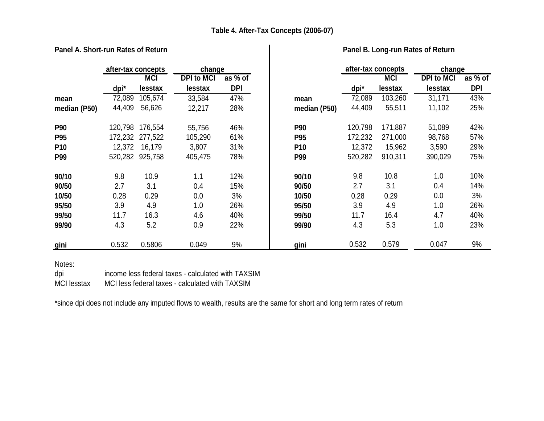|                 | after-tax concepts |                 | change            |            |                 |         | after-tax concepts | change            |            |
|-----------------|--------------------|-----------------|-------------------|------------|-----------------|---------|--------------------|-------------------|------------|
|                 |                    | <b>MCI</b>      | <b>DPI to MCI</b> | as % of    |                 |         | <b>MCI</b>         | <b>DPI to MCI</b> | as % of    |
|                 | dpi*               | lesstax         | lesstax           | <b>DPI</b> |                 | dpi*    | lesstax            | lesstax           | <b>DPI</b> |
| mean            | 72,089             | 105,674         | 33,584            | 47%        | mean            | 72,089  | 103,260            | 31,171            | 43%        |
| median (P50)    | 44,409             | 56,626          | 12,217            | 28%        | median (P50)    | 44,409  | 55,511             | 11,102            | 25%        |
| <b>P90</b>      | 120,798            | 176,554         | 55,756            | 46%        | <b>P90</b>      | 120,798 | 171,887            | 51,089            | 42%        |
| <b>P95</b>      | 172,232            | 277,522         | 105,290           | 61%        | P95             | 172,232 | 271,000            | 98,768            | 57%        |
| P <sub>10</sub> | 12,372             | 16,179          | 3,807             | 31%        | P <sub>10</sub> | 12,372  | 15,962             | 3,590             | 29%        |
| <b>P99</b>      |                    | 520,282 925,758 | 405,475           | 78%        | P99             | 520,282 | 910,311            | 390,029           | 75%        |
| 90/10           | 9.8                | 10.9            | 1.1               | 12%        | 90/10           | 9.8     | 10.8               | 1.0               | 10%        |
| 90/50           | 2.7                | 3.1             | 0.4               | 15%        | 90/50           | 2.7     | 3.1                | 0.4               | 14%        |
| 10/50           | 0.28               | 0.29            | 0.0               | 3%         | 10/50           | 0.28    | 0.29               | 0.0               | 3%         |
| 95/50           | 3.9                | 4.9             | 1.0               | 26%        | 95/50           | 3.9     | 4.9                | 1.0               | 26%        |
| 99/50           | 11.7               | 16.3            | 4.6               | 40%        | 99/50           | 11.7    | 16.4               | 4.7               | 40%        |
| 99/90           | 4.3                | 5.2             | 0.9               | 22%        | 99/90           | 4.3     | 5.3                | 1.0               | 23%        |
| gini            | 0.532              | 0.5806          | 0.049             | 9%         | gini            | 0.532   | 0.579              | 0.047             | 9%         |

# **Panel A. Short-run Rates of Return Panel B. Long-run Rates of Return**

Notes:

dpi income less federal taxes - calculated with TAXSIM

MCI lesstax MCI less federal taxes - calculated with TAXSIM

\*since dpi does not include any imputed flows to wealth, results are the same for short and long term rates of return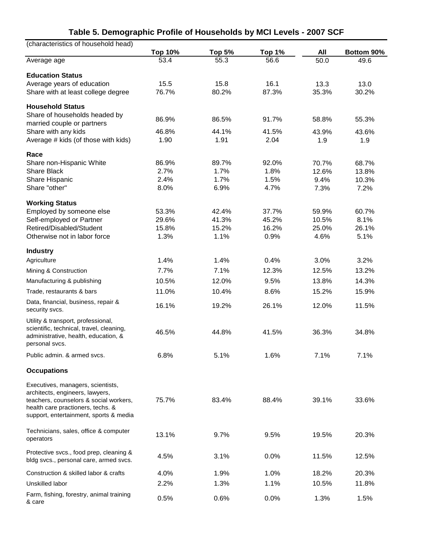| (characteristics of household head)                |                        |                       |                |             |                    |
|----------------------------------------------------|------------------------|-----------------------|----------------|-------------|--------------------|
| Average age                                        | <b>Top 10%</b><br>53.4 | <b>Top 5%</b><br>55.3 | Top 1%<br>56.6 | All<br>50.0 | Bottom 90%<br>49.6 |
|                                                    |                        |                       |                |             |                    |
| <b>Education Status</b>                            |                        |                       |                |             |                    |
| Average years of education                         | 15.5                   | 15.8                  | 16.1           | 13.3        | 13.0               |
| Share with at least college degree                 | 76.7%                  | 80.2%                 | 87.3%          | 35.3%       | 30.2%              |
| <b>Household Status</b>                            |                        |                       |                |             |                    |
| Share of households headed by                      |                        |                       |                |             |                    |
| married couple or partners                         | 86.9%                  | 86.5%                 | 91.7%          | 58.8%       | 55.3%              |
| Share with any kids                                | 46.8%                  | 44.1%                 | 41.5%          | 43.9%       | 43.6%              |
| Average # kids (of those with kids)                | 1.90                   | 1.91                  | 2.04           | 1.9         | 1.9                |
| Race                                               |                        |                       |                |             |                    |
| Share non-Hispanic White                           | 86.9%                  | 89.7%                 | 92.0%          | 70.7%       | 68.7%              |
| <b>Share Black</b>                                 | 2.7%                   | 1.7%                  | 1.8%           | 12.6%       | 13.8%              |
| Share Hispanic                                     | 2.4%                   | 1.7%                  | 1.5%           | 9.4%        | 10.3%              |
| Share "other"                                      | 8.0%                   | 6.9%                  | 4.7%           | 7.3%        | 7.2%               |
| <b>Working Status</b>                              |                        |                       |                |             |                    |
| Employed by someone else                           | 53.3%                  | 42.4%                 | 37.7%          | 59.9%       | 60.7%              |
| Self-employed or Partner                           | 29.6%                  | 41.3%                 | 45.2%          | 10.5%       | 8.1%               |
| Retired/Disabled/Student                           | 15.8%                  | 15.2%                 | 16.2%          | 25.0%       | 26.1%              |
| Otherwise not in labor force                       | 1.3%                   | 1.1%                  | 0.9%           | 4.6%        | 5.1%               |
| <b>Industry</b>                                    |                        |                       |                |             |                    |
| Agriculture                                        | 1.4%                   | 1.4%                  | 0.4%           | 3.0%        | 3.2%               |
| Mining & Construction                              | 7.7%                   | 7.1%                  | 12.3%          | 12.5%       | 13.2%              |
| Manufacturing & publishing                         | 10.5%                  | 12.0%                 | 9.5%           | 13.8%       | 14.3%              |
| Trade, restaurants & bars                          | 11.0%                  | 10.4%                 | 8.6%           | 15.2%       | 15.9%              |
| Data, financial, business, repair &                |                        |                       |                |             |                    |
| security svcs.                                     | 16.1%                  | 19.2%                 | 26.1%          | 12.0%       | 11.5%              |
| Utility & transport, professional,                 |                        |                       |                |             |                    |
| scientific, technical, travel, cleaning,           | 46.5%                  | 44.8%                 | 41.5%          | 36.3%       | 34.8%              |
| administrative, health, education, &               |                        |                       |                |             |                    |
| personal svcs.                                     |                        |                       |                |             |                    |
| Public admin. & armed svcs.                        | 6.8%                   | 5.1%                  | 1.6%           | 7.1%        | 7.1%               |
| <b>Occupations</b>                                 |                        |                       |                |             |                    |
| Executives, managers, scientists,                  |                        |                       |                |             |                    |
| architects, engineers, lawyers,                    |                        |                       |                |             |                    |
| teachers, counselors & social workers,             | 75.7%                  | 83.4%                 | 88.4%          | 39.1%       | 33.6%              |
| health care practioners, techs. &                  |                        |                       |                |             |                    |
| support, entertainment, sports & media             |                        |                       |                |             |                    |
| Technicians, sales, office & computer              |                        |                       |                |             |                    |
| operators                                          | 13.1%                  | 9.7%                  | 9.5%           | 19.5%       | 20.3%              |
| Protective svcs., food prep, cleaning &            |                        |                       |                |             |                    |
| bldg svcs., personal care, armed svcs.             | 4.5%                   | 3.1%                  | 0.0%           | 11.5%       | 12.5%              |
| Construction & skilled labor & crafts              | 4.0%                   | 1.9%                  | 1.0%           | 18.2%       | 20.3%              |
| Unskilled labor                                    | 2.2%                   | 1.3%                  | 1.1%           | 10.5%       | 11.8%              |
|                                                    |                        |                       |                |             |                    |
| Farm, fishing, forestry, animal training<br>& care | 0.5%                   | 0.6%                  | 0.0%           | 1.3%        | 1.5%               |

# **Table 5. Demographic Profile of Households by MCI Levels - 2007 SCF**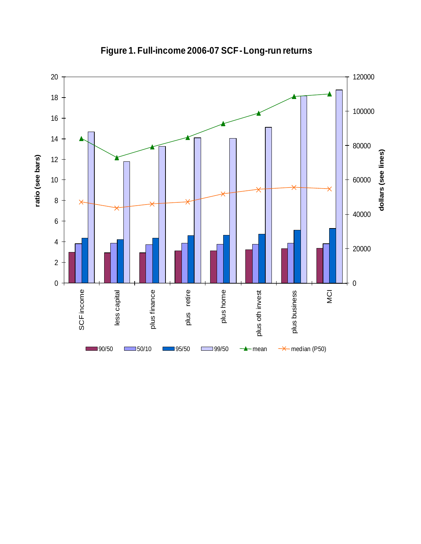

**Figure 1. Full-income 2006-07 SCF -Long-run returns**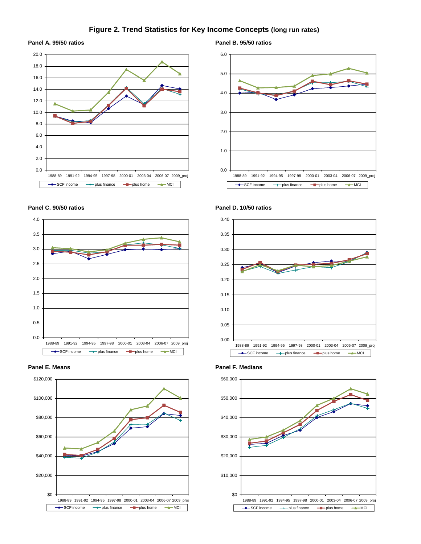### **Figure 2. Trend Statistics for Key Income Concepts (long run rates)**

### **Panel A. 99/50 ratios Panel B. 95/50 ratios**











**Panel C. 90/50 ratios Panel D. 10/50 ratios**





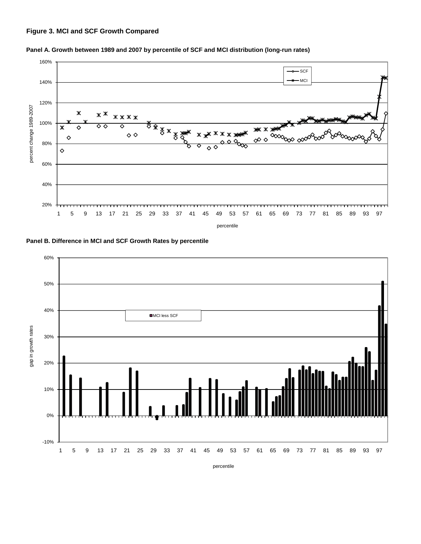# **Figure 3. MCI and SCF Growth Compared**



**Panel A. Growth between 1989 and 2007 by percentile of SCF and MCI distribution (long-run rates)**





percentile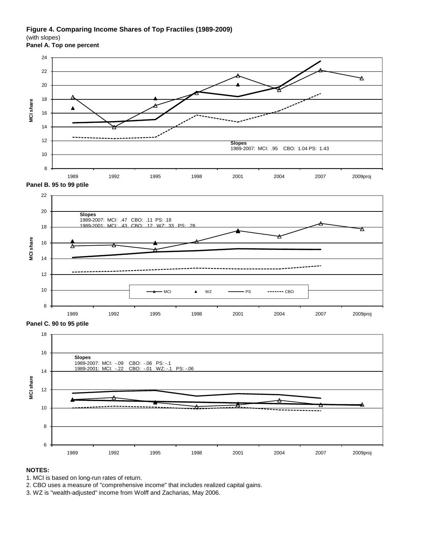### **Figure 4. Comparing Income Shares of Top Fractiles (1989-2009)**

(with slopes)

**Panel A. Top one percent**





**Panel C. 90 to 95 ptile**



### **NOTES:**

- 1. MCI is based on long-run rates of return.
- 2. CBO uses a measure of "comprehensive income" that includes realized capital gains.
- 3. WZ is "wealth-adjusted" income from Wolff and Zacharias, May 2006.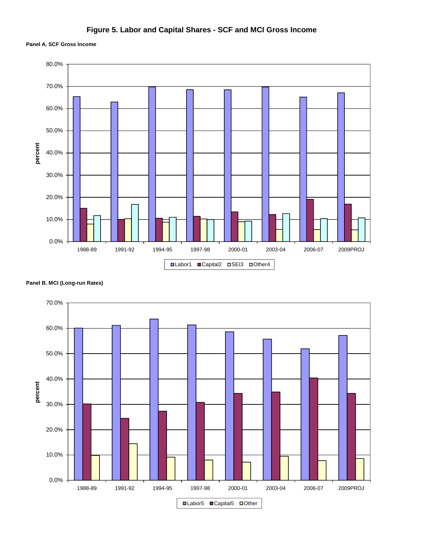# **Figure 5. Labor and Capital Shares - SCF and MCI Gross Income**

### **Panel A. SCF Gross Income**



**Panel B. MCI (Long-run Rates)**

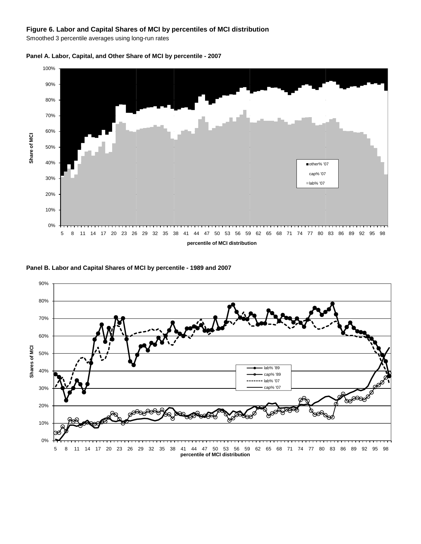### **Figure 6. Labor and Capital Shares of MCI by percentiles of MCI distribution**

Smoothed 3 percentile averages using long-run rates



**Panel A. Labor, Capital, and Other Share of MCI by percentile - 2007**

**Panel B. Labor and Capital Shares of MCI by percentile - 1989 and 2007**

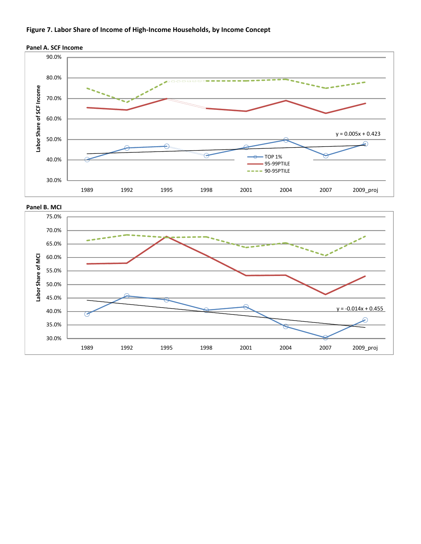### **Figure 7. Labor Share of Income of High-Income Households, by Income Concept**





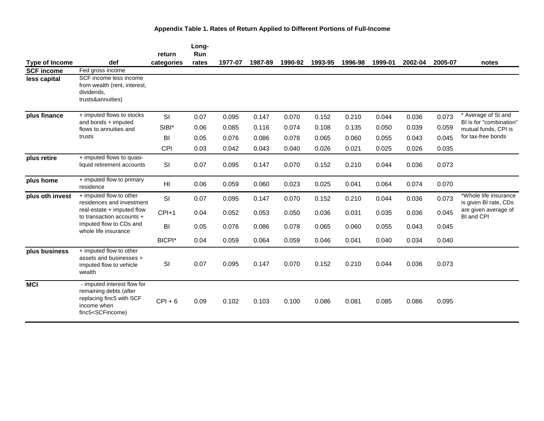|                       |                                                                                                                                                                                                                                                                                                                | return        | Long-<br>Run |         |         |         |         |         |         |         |         |                                                 |
|-----------------------|----------------------------------------------------------------------------------------------------------------------------------------------------------------------------------------------------------------------------------------------------------------------------------------------------------------|---------------|--------------|---------|---------|---------|---------|---------|---------|---------|---------|-------------------------------------------------|
| <b>Type of Income</b> | def                                                                                                                                                                                                                                                                                                            | categories    | rates        | 1977-07 | 1987-89 | 1990-92 | 1993-95 | 1996-98 | 1999-01 | 2002-04 | 2005-07 | notes                                           |
| <b>SCF income</b>     | Fed gross income                                                                                                                                                                                                                                                                                               |               |              |         |         |         |         |         |         |         |         |                                                 |
| less capital          | SCF income less income<br>from wealth (rent, interest,<br>dividends,<br>trusts&annuities)                                                                                                                                                                                                                      |               |              |         |         |         |         |         |         |         |         |                                                 |
| plus finance          | + imputed flows to stocks                                                                                                                                                                                                                                                                                      | SI            | 0.07         | 0.095   | 0.147   | 0.070   | 0.152   | 0.210   | 0.044   | 0.036   | 0.073   | * Average of SI and                             |
|                       | and bonds + imputed<br>flows to annuities and                                                                                                                                                                                                                                                                  | SIBI*         | 0.06         | 0.085   | 0.116   | 0.074   | 0.108   | 0.135   | 0.050   | 0.039   | 0.059   | BI is for "combination"<br>mutual funds, CPI is |
|                       | trusts                                                                                                                                                                                                                                                                                                         | BI            | 0.05         | 0.076   | 0.086   | 0.078   | 0.065   | 0.060   | 0.055   | 0.043   | 0.045   | for tax-free bonds                              |
|                       |                                                                                                                                                                                                                                                                                                                | CPI           | 0.03         | 0.042   | 0.043   | 0.040   | 0.026   | 0.021   | 0.025   | 0.026   | 0.035   |                                                 |
| plus retire           | + imputed flows to quasi-<br>liquid retirement accounts                                                                                                                                                                                                                                                        | SI            | 0.07         | 0.095   | 0.147   | 0.070   | 0.152   | 0.210   | 0.044   | 0.036   | 0.073   |                                                 |
| plus home             | + imputed flow to primary<br>residence                                                                                                                                                                                                                                                                         | HI            | 0.06         | 0.059   | 0.060   | 0.023   | 0.025   | 0.041   | 0.064   | 0.074   | 0.070   |                                                 |
| plus oth invest       | + imputed flow to other<br>residences and investment                                                                                                                                                                                                                                                           | SI            | 0.07         | 0.095   | 0.147   | 0.070   | 0.152   | 0.210   | 0.044   | 0.036   | 0.073   | *Whole life insurance<br>is given BI rate, CDs  |
|                       | real-estate $+$ imputed flow<br>to transaction accounts +                                                                                                                                                                                                                                                      | $CPI+1$       | 0.04         | 0.052   | 0.053   | 0.050   | 0.036   | 0.031   | 0.035   | 0.036   | 0.045   | are given average of<br>BI and CPI              |
|                       | imputed flow to CDs and<br>whole life insurance                                                                                                                                                                                                                                                                | BI            | 0.05         | 0.076   | 0.086   | 0.078   | 0.065   | 0.060   | 0.055   | 0.043   | 0.045   |                                                 |
|                       |                                                                                                                                                                                                                                                                                                                | <b>BICPI*</b> | 0.04         | 0.059   | 0.064   | 0.059   | 0.046   | 0.041   | 0.040   | 0.034   | 0.040   |                                                 |
| plus business         | + imputed flow to other<br>assets and businesses +<br>imputed flow to vehicle<br>wealth                                                                                                                                                                                                                        | SI            | 0.07         | 0.095   | 0.147   | 0.070   | 0.152   | 0.210   | 0.044   | 0.036   | 0.073   |                                                 |
| <b>MCI</b>            | - imputed interest flow for<br>remaining debts (after<br>replacing finc5 with SCF<br>income when<br>finc5 <scfincome)< td=""><td><math>CPI + 6</math></td><td>0.09</td><td>0.102</td><td>0.103</td><td>0.100</td><td>0.086</td><td>0.081</td><td>0.085</td><td>0.086</td><td>0.095</td><td></td></scfincome)<> | $CPI + 6$     | 0.09         | 0.102   | 0.103   | 0.100   | 0.086   | 0.081   | 0.085   | 0.086   | 0.095   |                                                 |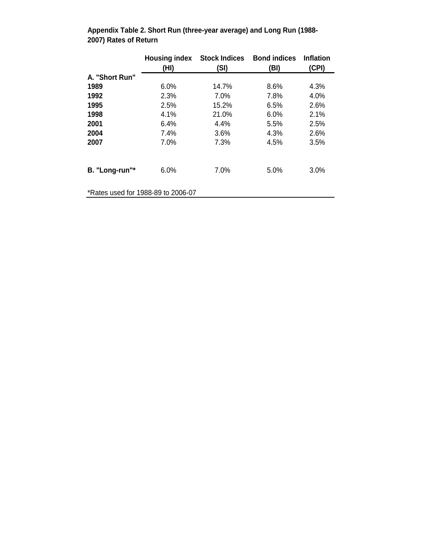|                | (HI)                               | <b>Housing index Stock Indices</b><br>(SI) | <b>Bond indices</b><br>(BI) | <b>Inflation</b><br>(CPI) |
|----------------|------------------------------------|--------------------------------------------|-----------------------------|---------------------------|
| A. "Short Run" |                                    |                                            |                             |                           |
| 1989           | 6.0%                               | 14.7%                                      | 8.6%                        | 4.3%                      |
| 1992           | 2.3%                               | 7.0%                                       | 7.8%                        | 4.0%                      |
| 1995           | 2.5%                               | 15.2%                                      | 6.5%                        | 2.6%                      |
| 1998           | 4.1%                               | 21.0%                                      | 6.0%                        | 2.1%                      |
| 2001           | 6.4%                               | 4.4%                                       | 5.5%                        | 2.5%                      |
| 2004           | 7.4%                               | 3.6%                                       | 4.3%                        | 2.6%                      |
| 2007           | 7.0%                               | 7.3%                                       | 4.5%                        | 3.5%                      |
| B. "Long-run"* | 6.0%                               | 7.0%                                       | 5.0%                        | 3.0%                      |
|                | *Rates used for 1988-89 to 2006-07 |                                            |                             |                           |

**Appendix Table 2. Short Run (three-year average) and Long Run (1988- 2007) Rates of Return**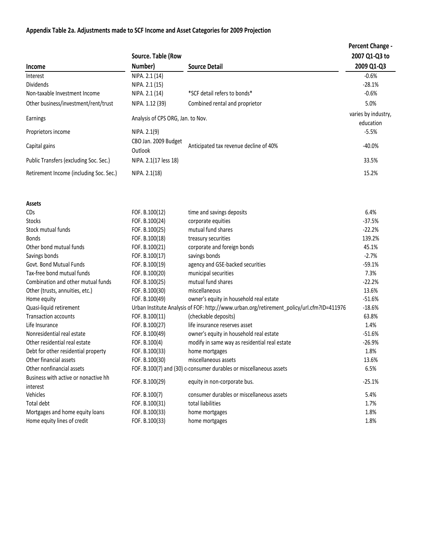# **Appendix Table 2a. Adjustments made to SCF Income and Asset Categories for 2009 Projection**

|                                         |                                   |                                        | Percent Change -    |
|-----------------------------------------|-----------------------------------|----------------------------------------|---------------------|
|                                         | Source. Table (Row                |                                        | 2007 Q1-Q3 to       |
| Income                                  | Number)                           | <b>Source Detail</b>                   | 2009 Q1-Q3          |
| Interest                                | NIPA. 2.1 (14)                    |                                        | $-0.6\%$            |
| Dividends                               | NIPA. 2.1 (15)                    |                                        | $-28.1%$            |
| Non-taxable Investment Income           | NIPA. 2.1 (14)                    | *SCF detail refers to bonds*           | $-0.6%$             |
| Other business/investment/rent/trust    | NIPA. 1.12 (39)                   | Combined rental and proprietor         | 5.0%                |
| Earnings                                | Analysis of CPS ORG, Jan. to Nov. |                                        | varies by industry, |
|                                         |                                   |                                        | education           |
| Proprietors income                      | NIPA. 2.1(9)                      |                                        | $-5.5%$             |
| Capital gains                           | CBO Jan. 2009 Budget              | Anticipated tax revenue decline of 40% | $-40.0\%$           |
|                                         | Outlook                           |                                        |                     |
| Public Transfers (excluding Soc. Sec.)  | NIPA. 2.1(17 less 18)             |                                        | 33.5%               |
| Retirement Income (including Soc. Sec.) | NIPA. 2.1(18)                     |                                        | 15.2%               |
|                                         |                                   |                                        |                     |

| <b>Assets</b>                        |                |                                                                                           |          |
|--------------------------------------|----------------|-------------------------------------------------------------------------------------------|----------|
| <b>CDs</b>                           | FOF. B.100(12) | time and savings deposits                                                                 | 6.4%     |
| <b>Stocks</b>                        | FOF. B.100(24) | corporate equities                                                                        | $-37.5%$ |
| Stock mutual funds                   | FOF. B.100(25) | mutual fund shares                                                                        | $-22.2%$ |
| <b>Bonds</b>                         | FOF. B.100(18) | treasury securities                                                                       | 139.2%   |
| Other bond mutual funds              | FOF. B.100(21) | corporate and foreign bonds                                                               | 45.1%    |
| Savings bonds                        | FOF. B.100(17) | savings bonds                                                                             | $-2.7%$  |
| Govt. Bond Mutual Funds              | FOF. B.100(19) | agency and GSE-backed securities                                                          | $-59.1%$ |
| Tax-free bond mutual funds           | FOF. B.100(20) | municipal securities                                                                      | 7.3%     |
| Combination and other mutual funds   | FOF. B.100(25) | mutual fund shares                                                                        | $-22.2%$ |
| Other (trusts, annuities, etc.)      | FOF. B.100(30) | miscellaneous                                                                             | 13.6%    |
| Home equity                          | FOF. B.100(49) | owner's equity in household real estate                                                   | $-51.6%$ |
| Quasi-liquid retirement              |                | Urban Institute Analysis of FOF: http://www.urban.org/retirement_policy/url.cfm?ID=411976 | $-18.6%$ |
| <b>Transaction accounts</b>          | FOF. B.100(11) | (checkable deposits)                                                                      | 63.8%    |
| Life Insurance                       | FOF. B.100(27) | life insurance reserves asset                                                             | 1.4%     |
| Nonresidential real estate           | FOF. B.100(49) | owner's equity in household real estate                                                   | $-51.6%$ |
| Other residential real estate        | FOF. B.100(4)  | modify in same way as residential real estate                                             | $-26.9%$ |
| Debt for other residential property  | FOF. B.100(33) | home mortgages                                                                            | 1.8%     |
| Other financial assets               | FOF. B.100(30) | miscellaneous assets                                                                      | 13.6%    |
| Other nonfinancial assets            |                | FOF. B.100(7) and (30) a consumer durables or miscellaneous assets                        | 6.5%     |
| Business with active or nonactive hh | FOF. B.100(29) | equity in non-corporate bus.                                                              | $-25.1%$ |
| interest                             |                |                                                                                           |          |
| Vehicles                             | FOF. B.100(7)  | consumer durables or miscellaneous assets                                                 | 5.4%     |
| Total debt                           | FOF. B.100(31) | total liabilities                                                                         | 1.7%     |
| Mortgages and home equity loans      | FOF. B.100(33) | home mortgages                                                                            | 1.8%     |
| Home equity lines of credit          | FOF. B.100(33) | home mortgages                                                                            | 1.8%     |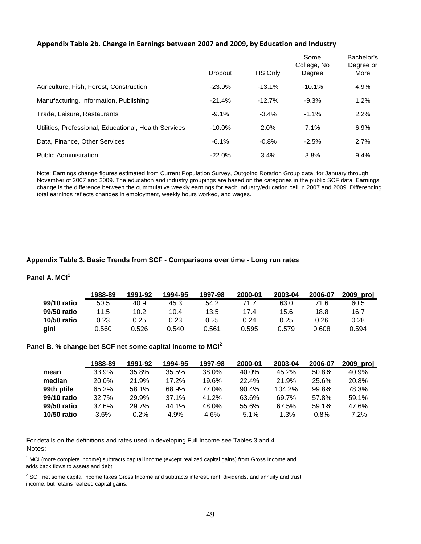### **Appendix Table 2b. Change in Earnings between 2007 and 2009, by Education and Industry**

|                                                       | Dropout   | HS Only   | Some<br>College, No<br>Degree | Bachelor's<br>Degree or<br>More |
|-------------------------------------------------------|-----------|-----------|-------------------------------|---------------------------------|
|                                                       |           |           |                               |                                 |
| Agriculture, Fish, Forest, Construction               | $-23.9%$  | $-13.1\%$ | $-10.1%$                      | 4.9%                            |
| Manufacturing, Information, Publishing                | $-21.4%$  | $-12.7%$  | $-9.3\%$                      | 1.2%                            |
| Trade, Leisure, Restaurants                           | $-9.1%$   | $-3.4%$   | $-1.1%$                       | 2.2%                            |
| Utilities, Professional, Educational, Health Services | $-10.0%$  | 2.0%      | 7.1%                          | 6.9%                            |
| Data, Finance, Other Services                         | $-6.1%$   | $-0.8%$   | $-2.5%$                       | 2.7%                            |
| <b>Public Administration</b>                          | $-22.0\%$ | 3.4%      | 3.8%                          | 9.4%                            |

Note: Earnings change figures estimated from Current Population Survey, Outgoing Rotation Group data, for January through November of 2007 and 2009. The education and industry groupings are based on the categories in the public SCF data. Earnings change is the difference between the cummulative weekly earnings for each industry/education cell in 2007 and 2009. Differencing total earnings reflects changes in employment, weekly hours worked, and wages.

### **Appendix Table 3. Basic Trends from SCF - Comparisons over time - Long run rates**

## **Panel A. MCI<sup>1</sup>**

|             | 1988-89 | 1991-92 | 1994-95 | 1997-98 | 2000-01 | 2003-04 | 2006-07 | 2009 proj |
|-------------|---------|---------|---------|---------|---------|---------|---------|-----------|
| 99/10 ratio | 50.5    | 40.9    | 45.3    | 54.2    | 71.7    | 63.0    | 71.6    | 60.5      |
| 99/50 ratio | 11.5    | 10.2    | 10.4    | 13.5    | 17.4    | 15.6    | 18.8    | 16.7      |
| 10/50 ratio | 0.23    | 0.25    | 0.23    | 0.25    | 0.24    | 0.25    | 0.26    | 0.28      |
| gini        | 0.560   | 0.526   | 0.540   | 0.561   | 0.595   | 0.579   | 0.608   | 0.594     |

### **Panel B. % change bet SCF net some capital income to MCI<sup>2</sup>**

|             | 1988-89 | 1991-92 | 1994-95 | 1997-98 | 2000-01 | 2003-04 | 2006-07 | 2009_proj |
|-------------|---------|---------|---------|---------|---------|---------|---------|-----------|
| mean        | 33.9%   | 35.8%   | 35.5%   | 38.0%   | 40.0%   | 45.2%   | 50.8%   | 40.9%     |
| median      | 20.0%   | 21.9%   | 17.2%   | 19.6%   | 22.4%   | 21.9%   | 25.6%   | 20.8%     |
| 99th ptile  | 65.2%   | 58.1%   | 68.9%   | 77.0%   | 90.4%   | 104.2%  | 99.8%   | 78.3%     |
| 99/10 ratio | 32.7%   | 29.9%   | 37.1%   | 41.2%   | 63.6%   | 69.7%   | 57.8%   | 59.1%     |
| 99/50 ratio | 37.6%   | 29.7%   | 44.1%   | 48.0%   | 55.6%   | 67.5%   | 59.1%   | 47.6%     |
| 10/50 ratio | 3.6%    | $-0.2%$ | 4.9%    | 4.6%    | $-5.1%$ | $-1.3%$ | 0.8%    | $-7.2\%$  |

For details on the definitions and rates used in developing Full Income see Tables 3 and 4. Notes:

1 MCI (more complete income) subtracts capital income (except realized capital gains) from Gross Income and adds back flows to assets and debt.

 $2$  SCF net some capital income takes Gross Income and subtracts interest, rent, dividends, and annuity and trust income, but retains realized capital gains.